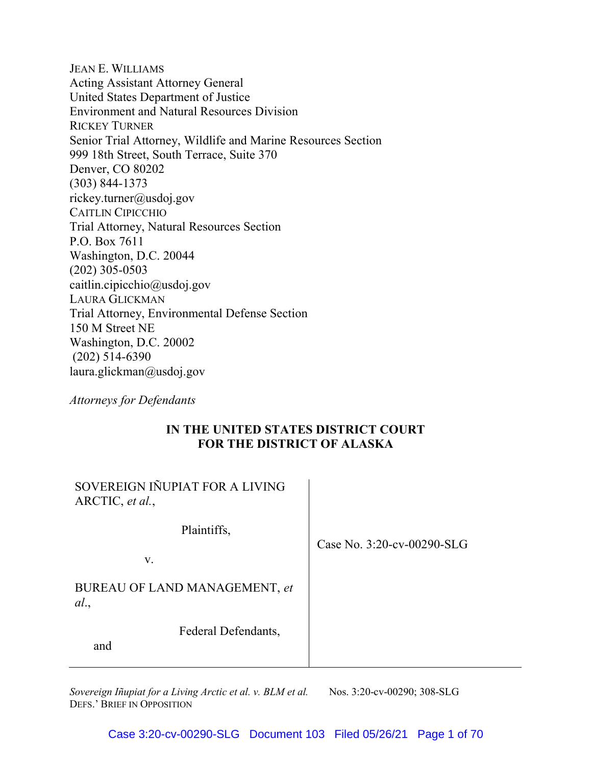JEAN E. WILLIAMS Acting Assistant Attorney General United States Department of Justice Environment and Natural Resources Division RICKEY TURNER Senior Trial Attorney, Wildlife and Marine Resources Section 999 18th Street, South Terrace, Suite 370 Denver, CO 80202 (303) 844-1373 rickey.turner@usdoj.gov CAITLIN CIPICCHIO Trial Attorney, Natural Resources Section P.O. Box 7611 Washington, D.C. 20044 (202) 305-0503 caitlin.cipicchio@usdoj.gov LAURA GLICKMAN Trial Attorney, Environmental Defense Section 150 M Street NE Washington, D.C. 20002 (202) 514-6390 laura.glickman@usdoj.gov

Attorneys for Defendants

## IN THE UNITED STATES DISTRICT COURT FOR THE DISTRICT OF ALASKA

| SOVEREIGN IÑUPIAT FOR A LIVING<br>$\text{ARTIC}, \text{et al.},$ |                            |
|------------------------------------------------------------------|----------------------------|
| Plaintiffs,                                                      | Case No. 3:20-cv-00290-SLG |
| V.                                                               |                            |
| BUREAU OF LAND MANAGEMENT, et<br>al.                             |                            |
| Federal Defendants,<br>and                                       |                            |

Sovereign Iñupiat for a Living Arctic et al. v. BLM et al. Nos. 3:20-cv-00290; 308-SLG DEFS.' BRIEF IN OPPOSITION

Case 3:20-cv-00290-SLG Document 103 Filed 05/26/21 Page 1 of 70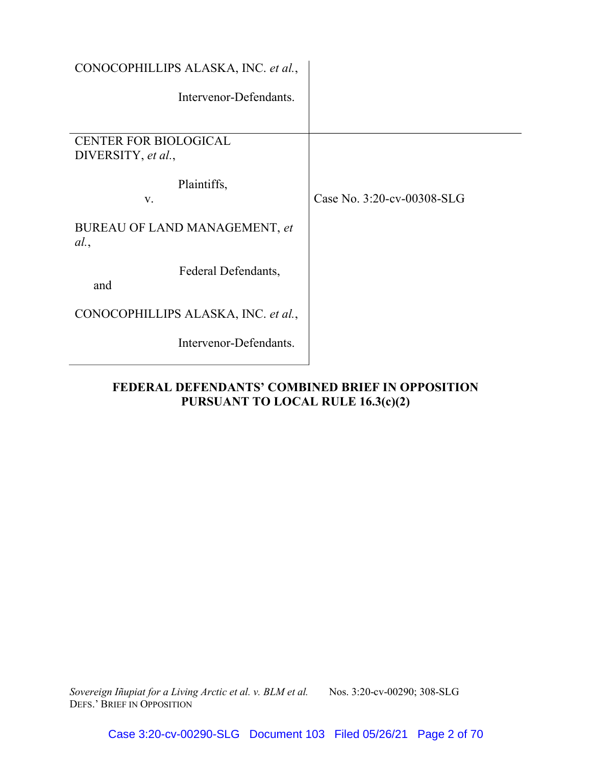| CONOCOPHILLIPS ALASKA, INC. et al.,                |                            |
|----------------------------------------------------|----------------------------|
| Intervenor-Defendants.                             |                            |
|                                                    |                            |
| <b>CENTER FOR BIOLOGICAL</b><br>DIVERSITY, et al., |                            |
| Plaintiffs,<br>V.                                  | Case No. 3:20-cv-00308-SLG |
| BUREAU OF LAND MANAGEMENT, et<br>al.               |                            |
| Federal Defendants,<br>and                         |                            |
| CONOCOPHILLIPS ALASKA, INC. et al.,                |                            |
| Intervenor-Defendants.                             |                            |
|                                                    |                            |

# FEDERAL DEFENDANTS' COMBINED BRIEF IN OPPOSITION PURSUANT TO LOCAL RULE 16.3(c)(2)

Sovereign Iñupiat for a Living Arctic et al. v. BLM et al. Nos. 3:20-cv-00290; 308-SLG DEFS.' BRIEF IN OPPOSITION

Case 3:20-cv-00290-SLG Document 103 Filed 05/26/21 Page 2 of 70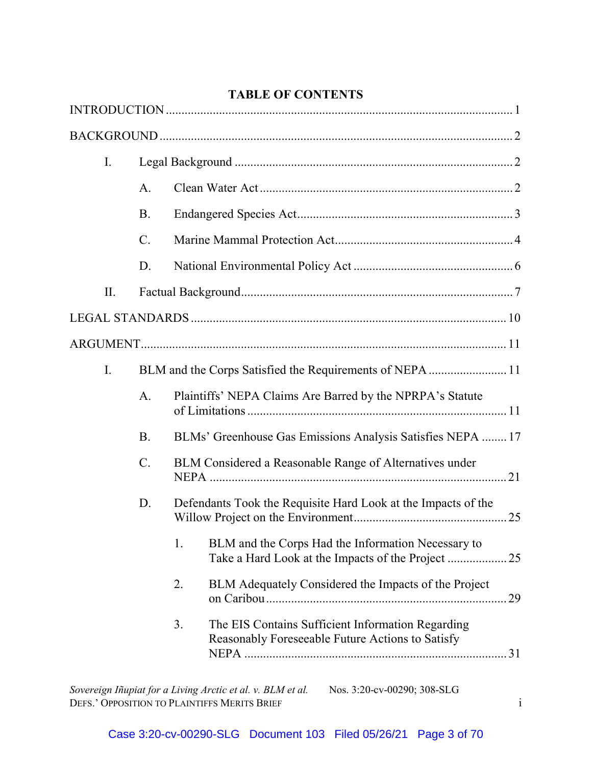| I.  |                                                          |                                                                                                             |
|-----|----------------------------------------------------------|-------------------------------------------------------------------------------------------------------------|
|     | A.                                                       |                                                                                                             |
|     | <b>B.</b>                                                |                                                                                                             |
|     | $\mathcal{C}$ .                                          |                                                                                                             |
|     | D.                                                       |                                                                                                             |
| II. |                                                          |                                                                                                             |
|     |                                                          |                                                                                                             |
|     |                                                          |                                                                                                             |
| I.  | BLM and the Corps Satisfied the Requirements of NEPA  11 |                                                                                                             |
|     | A.                                                       | Plaintiffs' NEPA Claims Are Barred by the NPRPA's Statute                                                   |
|     | <b>B.</b>                                                | BLMs' Greenhouse Gas Emissions Analysis Satisfies NEPA  17                                                  |
|     | $C$ .                                                    | BLM Considered a Reasonable Range of Alternatives under                                                     |
|     | D.                                                       | Defendants Took the Requisite Hard Look at the Impacts of the                                               |
|     |                                                          | 1.<br>BLM and the Corps Had the Information Necessary to                                                    |
|     |                                                          | BLM Adequately Considered the Impacts of the Project<br>2.                                                  |
|     |                                                          | The EIS Contains Sufficient Information Regarding<br>3.<br>Reasonably Foreseeable Future Actions to Satisfy |

## TABLE OF CONTENTS

Sovereign Iñupiat for a Living Arctic et al. v. BLM et al. Nos. 3:20-cv-00290; 308-SLG DEFS.' OPPOSITION TO PLAINTIFFS MERITS BRIEF in the state of the state of the state  $\mathbf i$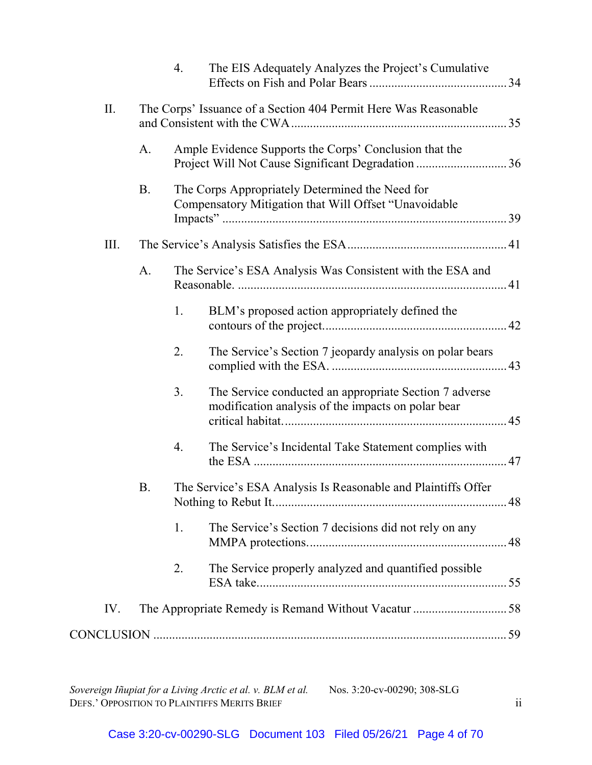|     |           | 4. | The EIS Adequately Analyzes the Project's Cumulative                                                         |
|-----|-----------|----|--------------------------------------------------------------------------------------------------------------|
| II. |           |    | The Corps' Issuance of a Section 404 Permit Here Was Reasonable                                              |
|     | A.        |    | Ample Evidence Supports the Corps' Conclusion that the                                                       |
|     | <b>B.</b> |    | The Corps Appropriately Determined the Need for<br>Compensatory Mitigation that Will Offset "Unavoidable     |
| Ш.  |           |    |                                                                                                              |
|     | A.        |    | The Service's ESA Analysis Was Consistent with the ESA and                                                   |
|     |           | 1. | BLM's proposed action appropriately defined the                                                              |
|     |           | 2. | The Service's Section 7 jeopardy analysis on polar bears                                                     |
|     |           | 3. | The Service conducted an appropriate Section 7 adverse<br>modification analysis of the impacts on polar bear |
|     |           | 4. | The Service's Incidental Take Statement complies with                                                        |
|     | <b>B.</b> |    | The Service's ESA Analysis Is Reasonable and Plaintiffs Offer                                                |
|     |           | 1. | The Service's Section 7 decisions did not rely on any                                                        |
|     |           | 2. | The Service properly analyzed and quantified possible                                                        |
| IV. |           |    |                                                                                                              |
|     |           |    |                                                                                                              |
|     |           |    |                                                                                                              |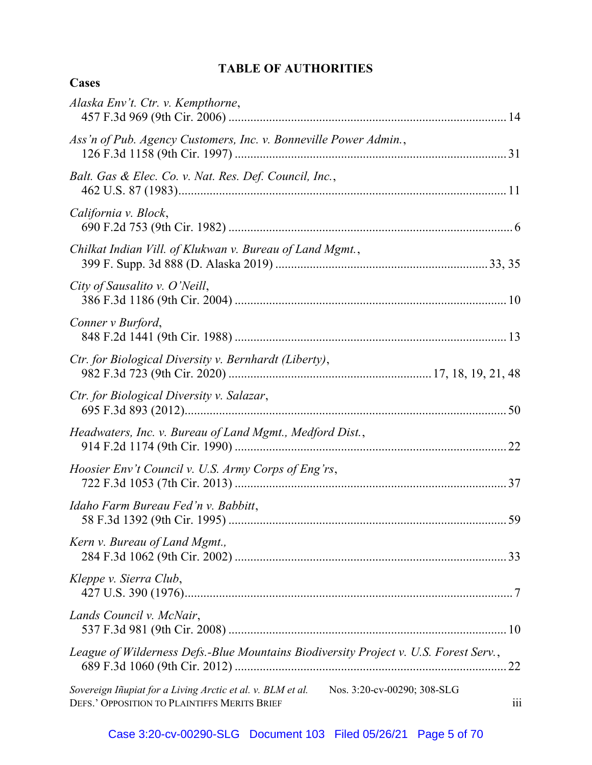# TABLE OF AUTHORITIES

**Cases** 

| Alaska Env't. Ctr. v. Kempthorne,                                                                                                         |     |
|-------------------------------------------------------------------------------------------------------------------------------------------|-----|
| Ass'n of Pub. Agency Customers, Inc. v. Bonneville Power Admin.,                                                                          |     |
| Balt. Gas & Elec. Co. v. Nat. Res. Def. Council, Inc.,                                                                                    |     |
| California v. Block,                                                                                                                      |     |
| Chilkat Indian Vill. of Klukwan v. Bureau of Land Mgmt.,                                                                                  |     |
| City of Sausalito v. O'Neill,                                                                                                             |     |
| Conner v Burford,                                                                                                                         |     |
| Ctr. for Biological Diversity v. Bernhardt (Liberty),                                                                                     |     |
| Ctr. for Biological Diversity v. Salazar,                                                                                                 |     |
| Headwaters, Inc. v. Bureau of Land Mgmt., Medford Dist.,                                                                                  |     |
| Hoosier Env't Council v. U.S. Army Corps of Eng'rs,                                                                                       |     |
| Idaho Farm Bureau Fed'n v. Babbitt,                                                                                                       |     |
| Kern v. Bureau of Land Mgmt.,                                                                                                             |     |
| Kleppe v. Sierra Club,                                                                                                                    |     |
| Lands Council v. McNair,                                                                                                                  |     |
| League of Wilderness Defs.-Blue Mountains Biodiversity Project v. U.S. Forest Serv.,                                                      | 22  |
| Sovereign Iñupiat for a Living Arctic et al. v. BLM et al.<br>Nos. 3:20-cv-00290; 308-SLG<br>DEFS.' OPPOSITION TO PLAINTIFFS MERITS BRIEF | 111 |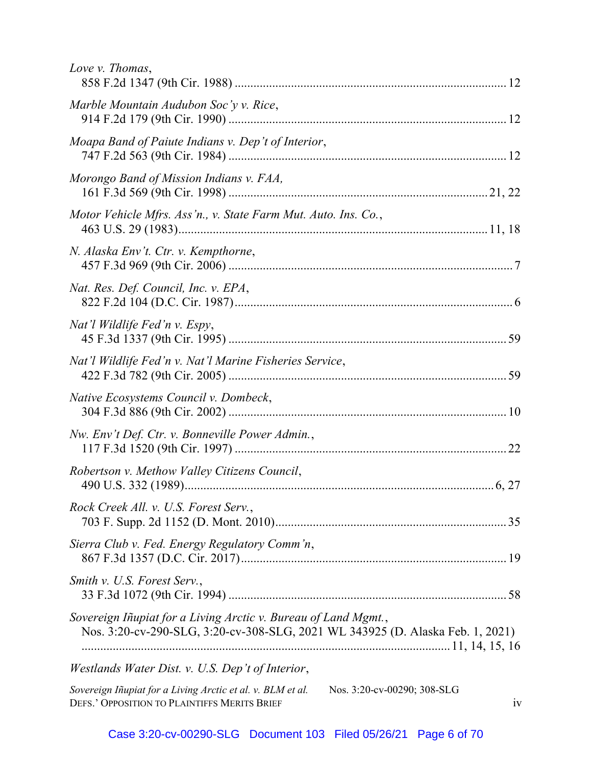| Love <i>v.</i> Thomas,                                                                                                                           |
|--------------------------------------------------------------------------------------------------------------------------------------------------|
| Marble Mountain Audubon Soc'y v. Rice,                                                                                                           |
| Moapa Band of Paiute Indians v. Dep't of Interior,                                                                                               |
| Morongo Band of Mission Indians v. FAA,                                                                                                          |
| Motor Vehicle Mfrs. Ass'n., v. State Farm Mut. Auto. Ins. Co.,                                                                                   |
| N. Alaska Env't. Ctr. v. Kempthorne,                                                                                                             |
| Nat. Res. Def. Council, Inc. v. EPA,                                                                                                             |
| Nat'l Wildlife Fed'n v. Espy,                                                                                                                    |
| Nat'l Wildlife Fed'n v. Nat'l Marine Fisheries Service,                                                                                          |
| Native Ecosystems Council v. Dombeck,                                                                                                            |
| Nw. Env't Def. Ctr. v. Bonneville Power Admin.,                                                                                                  |
| Robertson v. Methow Valley Citizens Council,                                                                                                     |
| Rock Creek All. v. U.S. Forest Serv.,                                                                                                            |
| Sierra Club v. Fed. Energy Regulatory Comm'n,                                                                                                    |
| Smith v. U.S. Forest Serv.,                                                                                                                      |
| Sovereign Iñupiat for a Living Arctic v. Bureau of Land Mgmt.,<br>Nos. 3:20-cv-290-SLG, 3:20-cv-308-SLG, 2021 WL 343925 (D. Alaska Feb. 1, 2021) |
| Westlands Water Dist. v. U.S. Dep't of Interior,                                                                                                 |
| Sovereign Iñupiat for a Living Arctic et al. v. BLM et al.<br>Nos. 3:20-cv-00290; 308-SLG<br>DEFS.' OPPOSITION TO PLAINTIFFS MERITS BRIEF<br>1V  |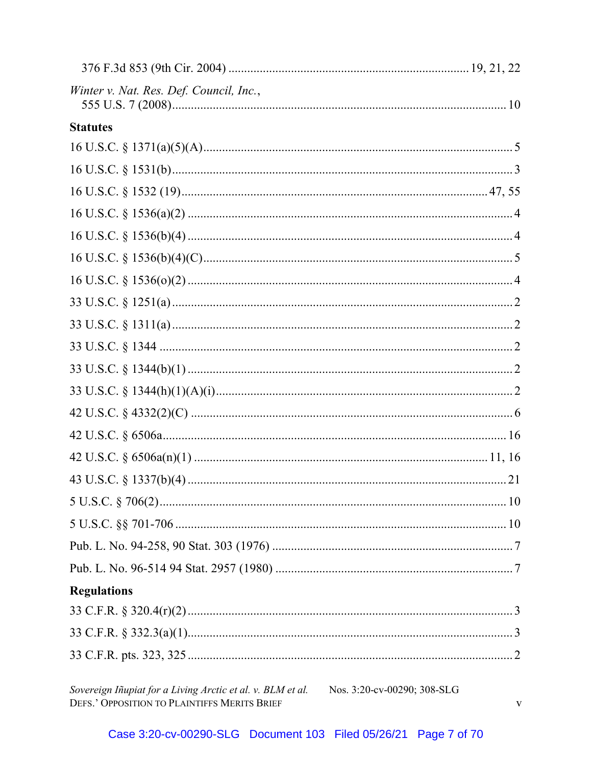| Winter v. Nat. Res. Def. Council, Inc.,                                                |  |
|----------------------------------------------------------------------------------------|--|
| <b>Statutes</b>                                                                        |  |
|                                                                                        |  |
|                                                                                        |  |
|                                                                                        |  |
|                                                                                        |  |
|                                                                                        |  |
|                                                                                        |  |
|                                                                                        |  |
|                                                                                        |  |
|                                                                                        |  |
|                                                                                        |  |
|                                                                                        |  |
|                                                                                        |  |
|                                                                                        |  |
|                                                                                        |  |
|                                                                                        |  |
|                                                                                        |  |
|                                                                                        |  |
|                                                                                        |  |
|                                                                                        |  |
|                                                                                        |  |
| <b>Regulations</b>                                                                     |  |
|                                                                                        |  |
|                                                                                        |  |
|                                                                                        |  |
| Sovereign Iñupiat for a Living Arctic et al. v. BLM et al. Nos. 3:20-cv-00290; 308-SLG |  |

 $\mathbf{V}$ 

DEFS.' OPPOSITION TO PLAINTIFFS MERITS BRIEF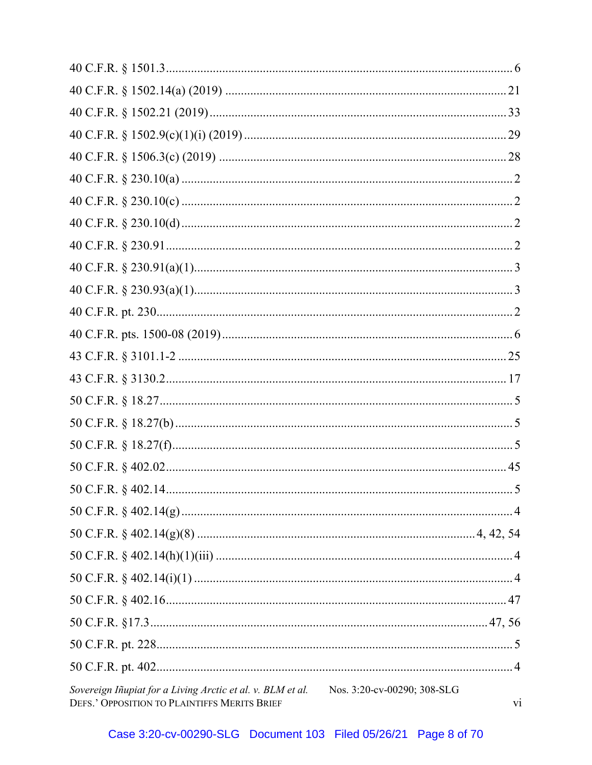| Sovereign Iñupiat for a Living Arctic et al. v. BLM et al. Nos. 3:20-cv-00290; 308-SLG<br>DEFS.' OPPOSITION TO PLAINTIFFS MERITS BRIEF | V1 |
|----------------------------------------------------------------------------------------------------------------------------------------|----|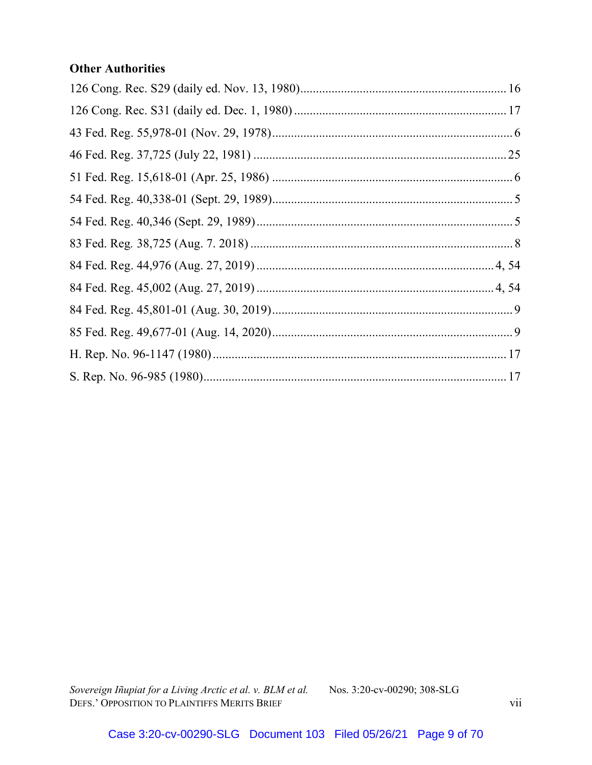# **Other Authorities**

vii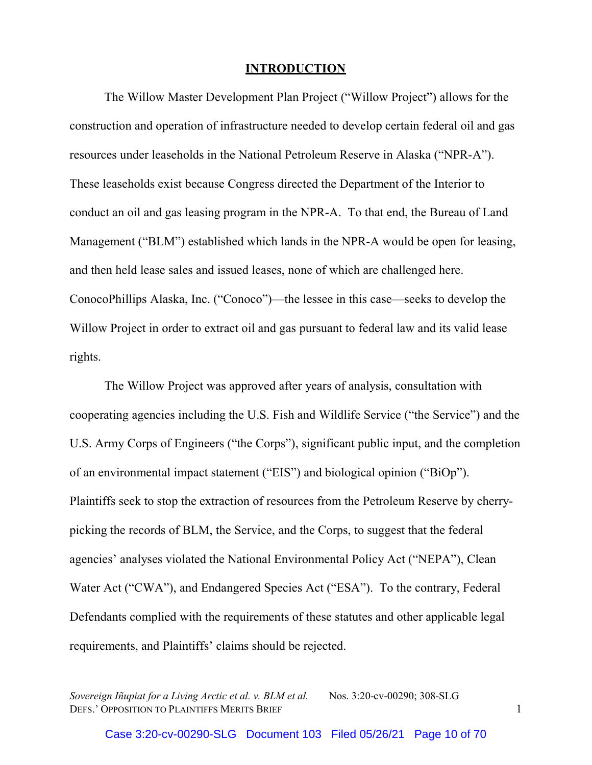### **INTRODUCTION**

 The Willow Master Development Plan Project ("Willow Project") allows for the construction and operation of infrastructure needed to develop certain federal oil and gas resources under leaseholds in the National Petroleum Reserve in Alaska ("NPR-A"). These leaseholds exist because Congress directed the Department of the Interior to conduct an oil and gas leasing program in the NPR-A. To that end, the Bureau of Land Management ("BLM") established which lands in the NPR-A would be open for leasing, and then held lease sales and issued leases, none of which are challenged here. ConocoPhillips Alaska, Inc. ("Conoco")—the lessee in this case—seeks to develop the Willow Project in order to extract oil and gas pursuant to federal law and its valid lease rights.

The Willow Project was approved after years of analysis, consultation with cooperating agencies including the U.S. Fish and Wildlife Service ("the Service") and the U.S. Army Corps of Engineers ("the Corps"), significant public input, and the completion of an environmental impact statement ("EIS") and biological opinion ("BiOp"). Plaintiffs seek to stop the extraction of resources from the Petroleum Reserve by cherrypicking the records of BLM, the Service, and the Corps, to suggest that the federal agencies' analyses violated the National Environmental Policy Act ("NEPA"), Clean Water Act ("CWA"), and Endangered Species Act ("ESA"). To the contrary, Federal Defendants complied with the requirements of these statutes and other applicable legal requirements, and Plaintiffs' claims should be rejected.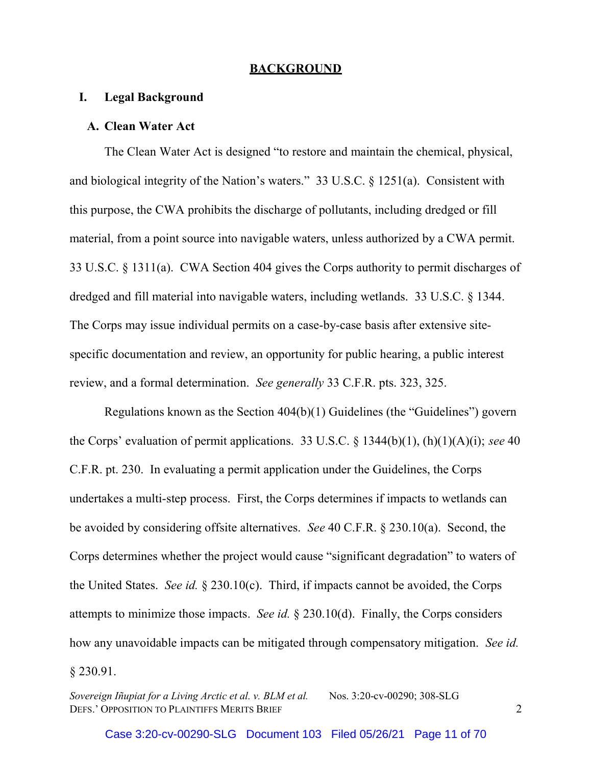#### **BACKGROUND**

#### I. Legal Background

#### A. Clean Water Act

The Clean Water Act is designed "to restore and maintain the chemical, physical, and biological integrity of the Nation's waters." 33 U.S.C. § 1251(a). Consistent with this purpose, the CWA prohibits the discharge of pollutants, including dredged or fill material, from a point source into navigable waters, unless authorized by a CWA permit. 33 U.S.C. § 1311(a). CWA Section 404 gives the Corps authority to permit discharges of dredged and fill material into navigable waters, including wetlands. 33 U.S.C. § 1344. The Corps may issue individual permits on a case-by-case basis after extensive sitespecific documentation and review, an opportunity for public hearing, a public interest review, and a formal determination. See generally 33 C.F.R. pts. 323, 325.

Regulations known as the Section 404(b)(1) Guidelines (the "Guidelines") govern the Corps' evaluation of permit applications. 33 U.S.C.  $\S$  1344(b)(1), (h)(1)(A)(i); see 40 C.F.R. pt. 230. In evaluating a permit application under the Guidelines, the Corps undertakes a multi-step process. First, the Corps determines if impacts to wetlands can be avoided by considering offsite alternatives. See 40 C.F.R. § 230.10(a). Second, the Corps determines whether the project would cause "significant degradation" to waters of the United States. See id.  $\S 230.10(c)$ . Third, if impacts cannot be avoided, the Corps attempts to minimize those impacts. See id.  $\S 230.10(d)$ . Finally, the Corps considers how any unavoidable impacts can be mitigated through compensatory mitigation. See id. § 230.91.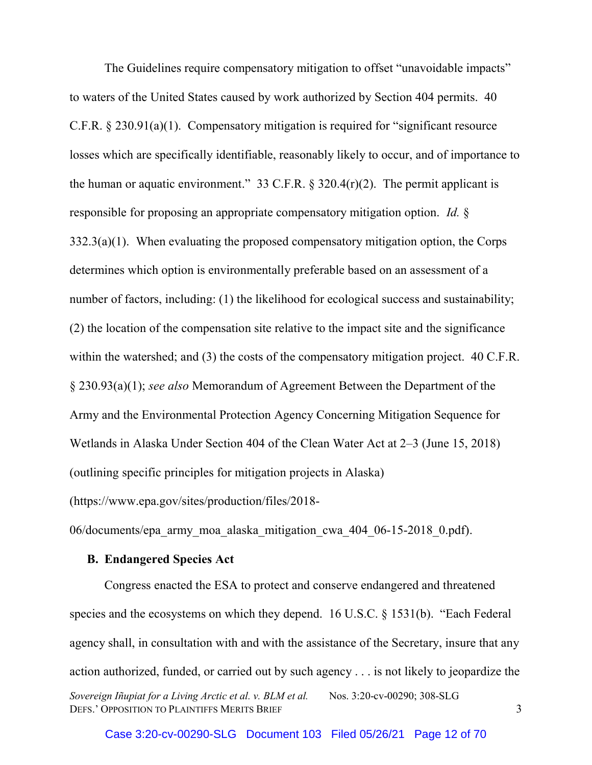The Guidelines require compensatory mitigation to offset "unavoidable impacts" to waters of the United States caused by work authorized by Section 404 permits. 40 C.F.R. § 230.91(a)(1). Compensatory mitigation is required for "significant resource losses which are specifically identifiable, reasonably likely to occur, and of importance to the human or aquatic environment." 33 C.F.R.  $\S 320.4(r)(2)$ . The permit applicant is responsible for proposing an appropriate compensatory mitigation option. Id. § 332.3(a)(1). When evaluating the proposed compensatory mitigation option, the Corps determines which option is environmentally preferable based on an assessment of a number of factors, including: (1) the likelihood for ecological success and sustainability; (2) the location of the compensation site relative to the impact site and the significance within the watershed; and (3) the costs of the compensatory mitigation project. 40 C.F.R. § 230.93(a)(1); see also Memorandum of Agreement Between the Department of the Army and the Environmental Protection Agency Concerning Mitigation Sequence for Wetlands in Alaska Under Section 404 of the Clean Water Act at 2–3 (June 15, 2018) (outlining specific principles for mitigation projects in Alaska)

(https://www.epa.gov/sites/production/files/2018-

06/documents/epa\_army\_moa\_alaska\_mitigation\_cwa\_404\_06-15-2018\_0.pdf).

#### B. Endangered Species Act

Sovereign Iñupiat for a Living Arctic et al. v. BLM et al. Nos. 3:20-cv-00290; 308-SLG DEFS.' OPPOSITION TO PLAINTIFFS MERITS BRIEF 3 Congress enacted the ESA to protect and conserve endangered and threatened species and the ecosystems on which they depend. 16 U.S.C. § 1531(b). "Each Federal agency shall, in consultation with and with the assistance of the Secretary, insure that any action authorized, funded, or carried out by such agency . . . is not likely to jeopardize the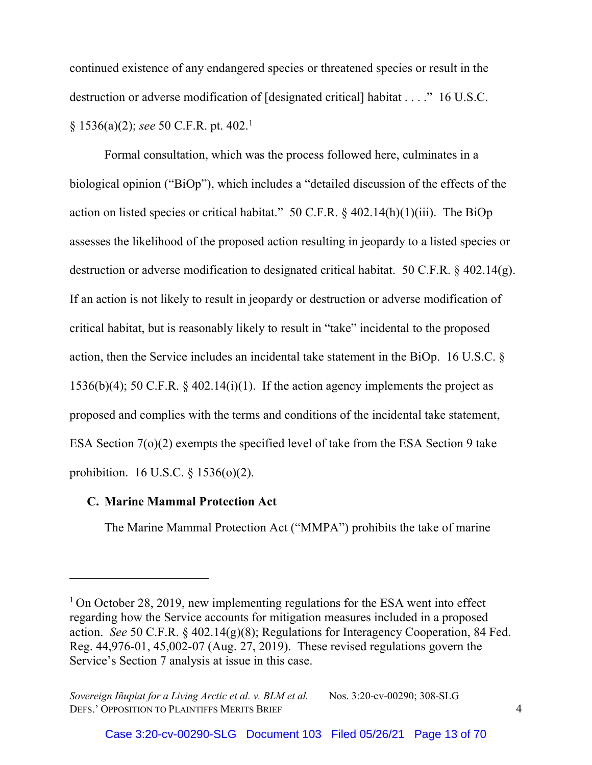continued existence of any endangered species or threatened species or result in the destruction or adverse modification of [designated critical] habitat . . . ." 16 U.S.C.  $\S$  1536(a)(2); see 50 C.F.R. pt. 402.<sup>1</sup>

Formal consultation, which was the process followed here, culminates in a biological opinion ("BiOp"), which includes a "detailed discussion of the effects of the action on listed species or critical habitat." 50 C.F.R. § 402.14(h)(1)(iii). The BiOp assesses the likelihood of the proposed action resulting in jeopardy to a listed species or destruction or adverse modification to designated critical habitat. 50 C.F.R. § 402.14(g). If an action is not likely to result in jeopardy or destruction or adverse modification of critical habitat, but is reasonably likely to result in "take" incidental to the proposed action, then the Service includes an incidental take statement in the BiOp. 16 U.S.C. § 1536(b)(4); 50 C.F.R. § 402.14(i)(1). If the action agency implements the project as proposed and complies with the terms and conditions of the incidental take statement, ESA Section 7(o)(2) exempts the specified level of take from the ESA Section 9 take prohibition. 16 U.S.C. § 1536(o)(2).

### C. Marine Mammal Protection Act

The Marine Mammal Protection Act ("MMPA") prohibits the take of marine

 $1$ On October 28, 2019, new implementing regulations for the ESA went into effect regarding how the Service accounts for mitigation measures included in a proposed action. See 50 C.F.R. § 402.14(g)(8); Regulations for Interagency Cooperation, 84 Fed. Reg. 44,976-01, 45,002-07 (Aug. 27, 2019). These revised regulations govern the Service's Section 7 analysis at issue in this case.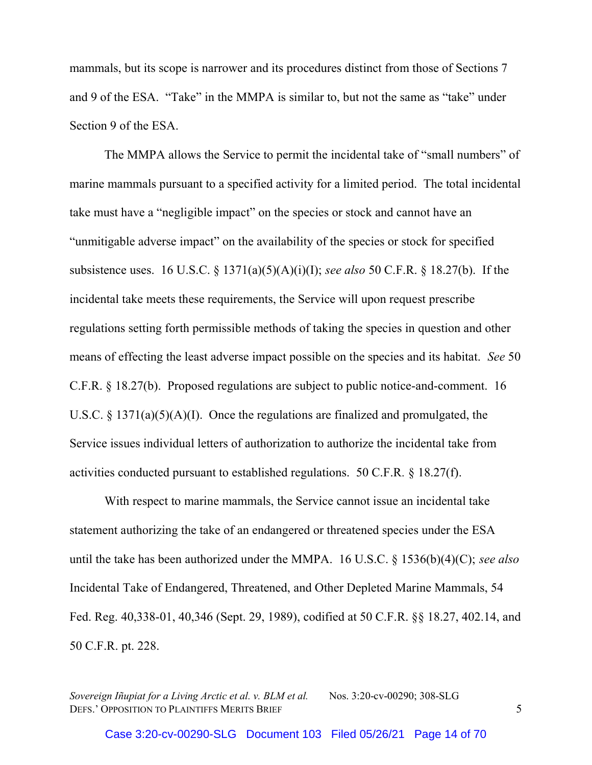mammals, but its scope is narrower and its procedures distinct from those of Sections 7 and 9 of the ESA. "Take" in the MMPA is similar to, but not the same as "take" under Section 9 of the ESA.

The MMPA allows the Service to permit the incidental take of "small numbers" of marine mammals pursuant to a specified activity for a limited period. The total incidental take must have a "negligible impact" on the species or stock and cannot have an "unmitigable adverse impact" on the availability of the species or stock for specified subsistence uses. 16 U.S.C. § 1371(a)(5)(A)(i)(I); see also 50 C.F.R. § 18.27(b). If the incidental take meets these requirements, the Service will upon request prescribe regulations setting forth permissible methods of taking the species in question and other means of effecting the least adverse impact possible on the species and its habitat. See 50 C.F.R. § 18.27(b). Proposed regulations are subject to public notice-and-comment. 16 U.S.C.  $\S$  1371(a)(5)(A)(I). Once the regulations are finalized and promulgated, the Service issues individual letters of authorization to authorize the incidental take from activities conducted pursuant to established regulations. 50 C.F.R. § 18.27(f).

With respect to marine mammals, the Service cannot issue an incidental take statement authorizing the take of an endangered or threatened species under the ESA until the take has been authorized under the MMPA. 16 U.S.C.  $\S$  1536(b)(4)(C); see also Incidental Take of Endangered, Threatened, and Other Depleted Marine Mammals, 54 Fed. Reg. 40,338-01, 40,346 (Sept. 29, 1989), codified at 50 C.F.R. §§ 18.27, 402.14, and 50 C.F.R. pt. 228.

Sovereign Iñupiat for a Living Arctic et al. v. BLM et al. Nos. 3:20-cv-00290; 308-SLG DEFS.' OPPOSITION TO PLAINTIFFS MERITS BRIEF 5

Case 3:20-cv-00290-SLG Document 103 Filed 05/26/21 Page 14 of 70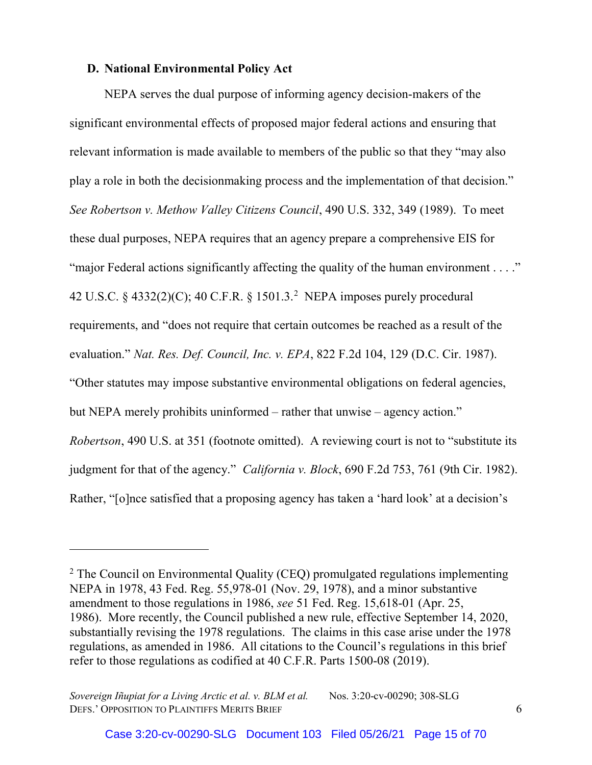### D. National Environmental Policy Act

NEPA serves the dual purpose of informing agency decision-makers of the significant environmental effects of proposed major federal actions and ensuring that relevant information is made available to members of the public so that they "may also play a role in both the decisionmaking process and the implementation of that decision." See Robertson v. Methow Valley Citizens Council, 490 U.S. 332, 349 (1989). To meet these dual purposes, NEPA requires that an agency prepare a comprehensive EIS for "major Federal actions significantly affecting the quality of the human environment . . . ." 42 U.S.C.  $\S$  4332(2)(C); 40 C.F.R.  $\S$  1501.3.<sup>2</sup> NEPA imposes purely procedural requirements, and "does not require that certain outcomes be reached as a result of the evaluation." Nat. Res. Def. Council, Inc. v. EPA, 822 F.2d 104, 129 (D.C. Cir. 1987). "Other statutes may impose substantive environmental obligations on federal agencies, but NEPA merely prohibits uninformed – rather that unwise – agency action." Robertson, 490 U.S. at 351 (footnote omitted). A reviewing court is not to "substitute its judgment for that of the agency." California v. Block, 690 F.2d 753, 761 (9th Cir. 1982). Rather, "[o]nce satisfied that a proposing agency has taken a 'hard look' at a decision's

<sup>&</sup>lt;sup>2</sup> The Council on Environmental Quality (CEQ) promulgated regulations implementing NEPA in 1978, 43 Fed. Reg. 55,978-01 (Nov. 29, 1978), and a minor substantive amendment to those regulations in 1986, see 51 Fed. Reg. 15,618-01 (Apr. 25, 1986). More recently, the Council published a new rule, effective September 14, 2020, substantially revising the 1978 regulations. The claims in this case arise under the 1978 regulations, as amended in 1986. All citations to the Council's regulations in this brief refer to those regulations as codified at 40 C.F.R. Parts 1500-08 (2019).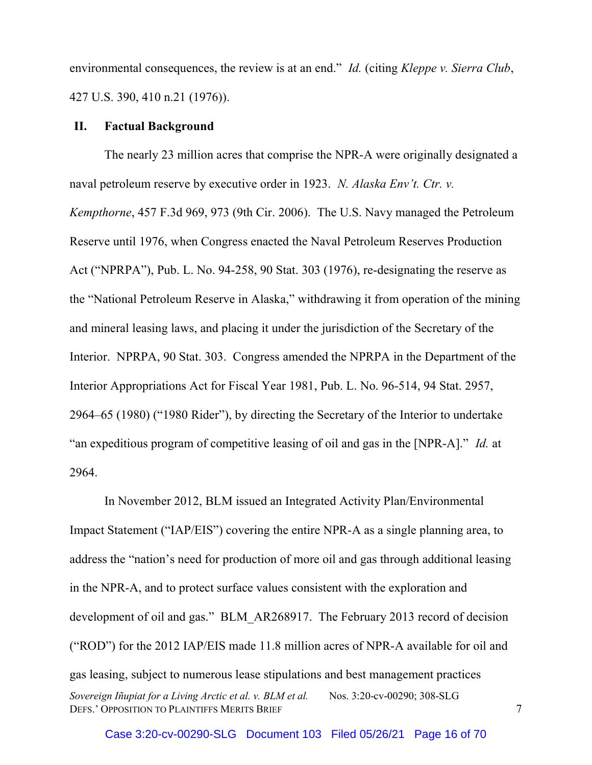environmental consequences, the review is at an end." Id. (citing Kleppe v. Sierra Club, 427 U.S. 390, 410 n.21 (1976)).

#### II. Factual Background

The nearly 23 million acres that comprise the NPR-A were originally designated a naval petroleum reserve by executive order in 1923. N. Alaska Env't. Ctr. v. Kempthorne, 457 F.3d 969, 973 (9th Cir. 2006). The U.S. Navy managed the Petroleum Reserve until 1976, when Congress enacted the Naval Petroleum Reserves Production Act ("NPRPA"), Pub. L. No. 94-258, 90 Stat. 303 (1976), re-designating the reserve as the "National Petroleum Reserve in Alaska," withdrawing it from operation of the mining and mineral leasing laws, and placing it under the jurisdiction of the Secretary of the Interior. NPRPA, 90 Stat. 303. Congress amended the NPRPA in the Department of the Interior Appropriations Act for Fiscal Year 1981, Pub. L. No. 96-514, 94 Stat. 2957, 2964–65 (1980) ("1980 Rider"), by directing the Secretary of the Interior to undertake "an expeditious program of competitive leasing of oil and gas in the [NPR-A]." Id. at 2964.

Sovereign Iñupiat for a Living Arctic et al. v. BLM et al. Nos. 3:20-cv-00290; 308-SLG DEFS.' OPPOSITION TO PLAINTIFFS MERITS BRIEF 7 In November 2012, BLM issued an Integrated Activity Plan/Environmental Impact Statement ("IAP/EIS") covering the entire NPR-A as a single planning area, to address the "nation's need for production of more oil and gas through additional leasing in the NPR-A, and to protect surface values consistent with the exploration and development of oil and gas." BLM\_AR268917. The February 2013 record of decision ("ROD") for the 2012 IAP/EIS made 11.8 million acres of NPR-A available for oil and gas leasing, subject to numerous lease stipulations and best management practices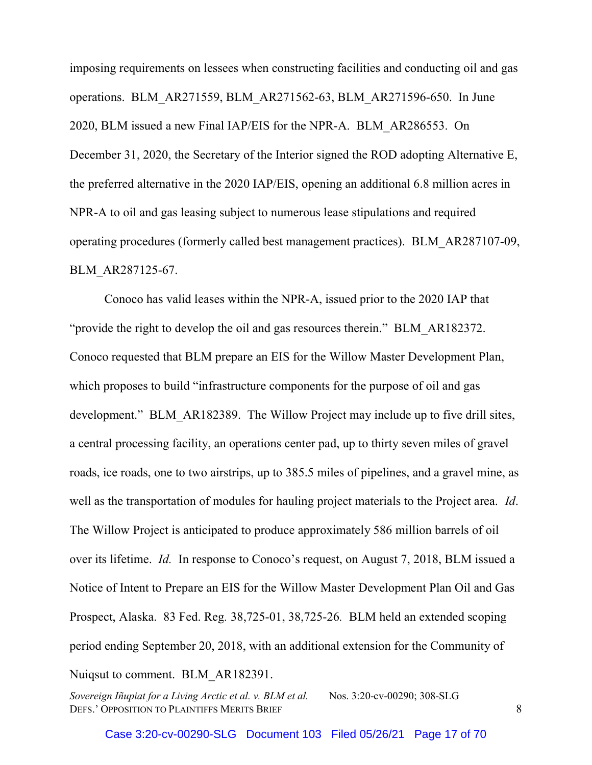imposing requirements on lessees when constructing facilities and conducting oil and gas operations. BLM\_AR271559, BLM\_AR271562-63, BLM\_AR271596-650. In June 2020, BLM issued a new Final IAP/EIS for the NPR-A. BLM\_AR286553. On December 31, 2020, the Secretary of the Interior signed the ROD adopting Alternative E, the preferred alternative in the 2020 IAP/EIS, opening an additional 6.8 million acres in NPR-A to oil and gas leasing subject to numerous lease stipulations and required operating procedures (formerly called best management practices). BLM\_AR287107-09, BLM\_AR287125-67.

Conoco has valid leases within the NPR-A, issued prior to the 2020 IAP that "provide the right to develop the oil and gas resources therein." BLM\_AR182372. Conoco requested that BLM prepare an EIS for the Willow Master Development Plan, which proposes to build "infrastructure components for the purpose of oil and gas development." BLM AR182389. The Willow Project may include up to five drill sites, a central processing facility, an operations center pad, up to thirty seven miles of gravel roads, ice roads, one to two airstrips, up to 385.5 miles of pipelines, and a gravel mine, as well as the transportation of modules for hauling project materials to the Project area. *Id.* The Willow Project is anticipated to produce approximately 586 million barrels of oil over its lifetime. Id. In response to Conoco's request, on August 7, 2018, BLM issued a Notice of Intent to Prepare an EIS for the Willow Master Development Plan Oil and Gas Prospect, Alaska. 83 Fed. Reg. 38,725-01, 38,725-26. BLM held an extended scoping period ending September 20, 2018, with an additional extension for the Community of Nuiqsut to comment. BLM\_AR182391.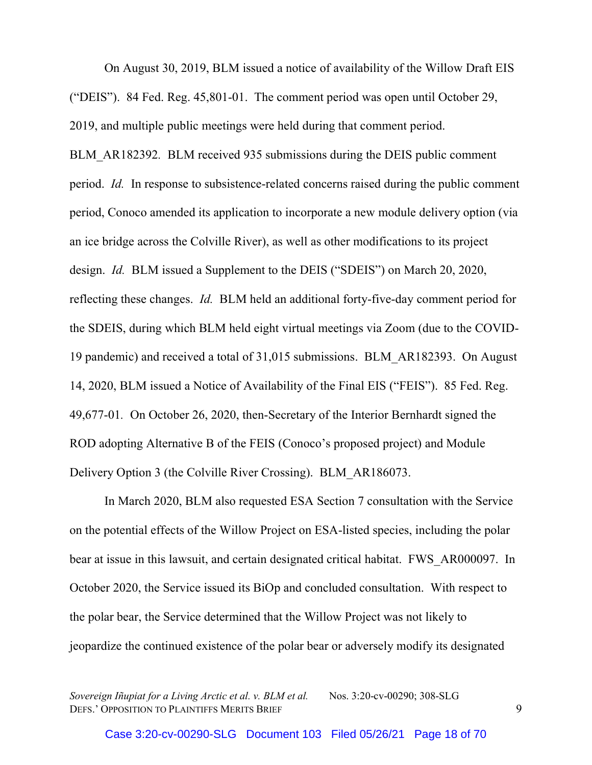On August 30, 2019, BLM issued a notice of availability of the Willow Draft EIS ("DEIS"). 84 Fed. Reg. 45,801-01. The comment period was open until October 29, 2019, and multiple public meetings were held during that comment period. BLM\_AR182392. BLM received 935 submissions during the DEIS public comment period. *Id.* In response to subsistence-related concerns raised during the public comment period, Conoco amended its application to incorporate a new module delivery option (via an ice bridge across the Colville River), as well as other modifications to its project design. Id. BLM issued a Supplement to the DEIS ("SDEIS") on March 20, 2020, reflecting these changes. Id. BLM held an additional forty-five-day comment period for the SDEIS, during which BLM held eight virtual meetings via Zoom (due to the COVID-19 pandemic) and received a total of 31,015 submissions. BLM\_AR182393. On August 14, 2020, BLM issued a Notice of Availability of the Final EIS ("FEIS"). 85 Fed. Reg. 49,677-01. On October 26, 2020, then-Secretary of the Interior Bernhardt signed the ROD adopting Alternative B of the FEIS (Conoco's proposed project) and Module Delivery Option 3 (the Colville River Crossing). BLM AR186073.

In March 2020, BLM also requested ESA Section 7 consultation with the Service on the potential effects of the Willow Project on ESA-listed species, including the polar bear at issue in this lawsuit, and certain designated critical habitat. FWS\_AR000097. In October 2020, the Service issued its BiOp and concluded consultation. With respect to the polar bear, the Service determined that the Willow Project was not likely to jeopardize the continued existence of the polar bear or adversely modify its designated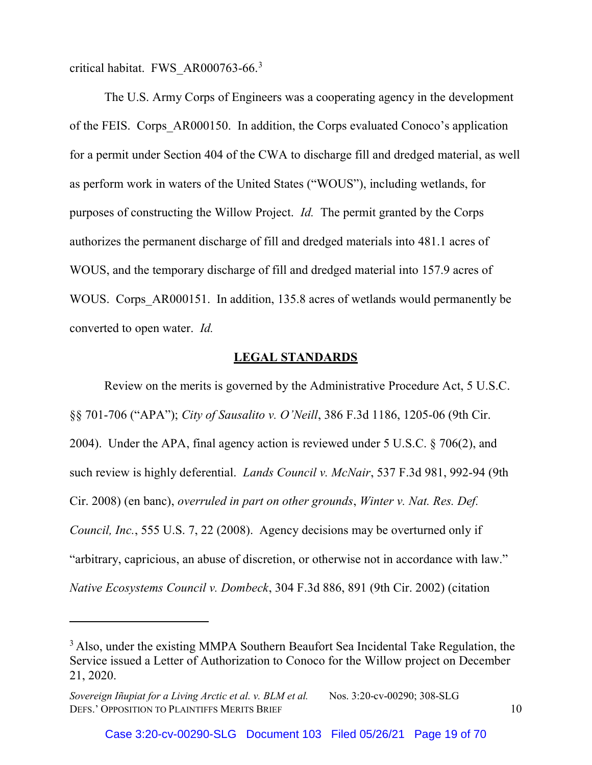critical habitat. FWS\_AR000763-66.<sup>3</sup>

The U.S. Army Corps of Engineers was a cooperating agency in the development of the FEIS. Corps\_AR000150. In addition, the Corps evaluated Conoco's application for a permit under Section 404 of the CWA to discharge fill and dredged material, as well as perform work in waters of the United States ("WOUS"), including wetlands, for purposes of constructing the Willow Project. Id. The permit granted by the Corps authorizes the permanent discharge of fill and dredged materials into 481.1 acres of WOUS, and the temporary discharge of fill and dredged material into 157.9 acres of WOUS. Corps AR000151. In addition, 135.8 acres of wetlands would permanently be converted to open water. Id.

#### LEGAL STANDARDS

 Review on the merits is governed by the Administrative Procedure Act, 5 U.S.C. §§ 701-706 ("APA"); City of Sausalito v. O'Neill, 386 F.3d 1186, 1205-06 (9th Cir. 2004). Under the APA, final agency action is reviewed under 5 U.S.C. § 706(2), and such review is highly deferential. Lands Council v. McNair, 537 F.3d 981, 992-94 (9th Cir. 2008) (en banc), overruled in part on other grounds, Winter v. Nat. Res. Def. Council, Inc., 555 U.S. 7, 22 (2008). Agency decisions may be overturned only if "arbitrary, capricious, an abuse of discretion, or otherwise not in accordance with law." Native Ecosystems Council v. Dombeck, 304 F.3d 886, 891 (9th Cir. 2002) (citation

<sup>&</sup>lt;sup>3</sup> Also, under the existing MMPA Southern Beaufort Sea Incidental Take Regulation, the Service issued a Letter of Authorization to Conoco for the Willow project on December 21, 2020.

Sovereign Iñupiat for a Living Arctic et al. v. BLM et al. Nos. 3:20-cv-00290; 308-SLG DEFS.' OPPOSITION TO PLAINTIFFS MERITS BRIEF 10 10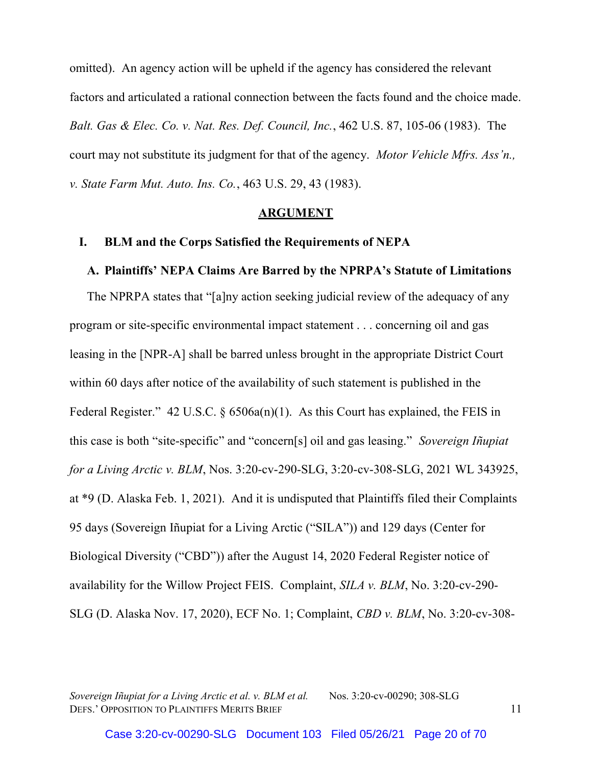omitted). An agency action will be upheld if the agency has considered the relevant factors and articulated a rational connection between the facts found and the choice made. Balt. Gas & Elec. Co. v. Nat. Res. Def. Council, Inc., 462 U.S. 87, 105-06 (1983). The court may not substitute its judgment for that of the agency. Motor Vehicle Mfrs. Ass'n., v. State Farm Mut. Auto. Ins. Co., 463 U.S. 29, 43 (1983).

#### ARGUMENT

### I. BLM and the Corps Satisfied the Requirements of NEPA

#### A. Plaintiffs' NEPA Claims Are Barred by the NPRPA's Statute of Limitations

The NPRPA states that "[a]ny action seeking judicial review of the adequacy of any program or site-specific environmental impact statement . . . concerning oil and gas leasing in the [NPR-A] shall be barred unless brought in the appropriate District Court within 60 days after notice of the availability of such statement is published in the Federal Register." 42 U.S.C. § 6506a(n)(1). As this Court has explained, the FEIS in this case is both "site-specific" and "concern[s] oil and gas leasing." Sovereign Iñupiat for a Living Arctic v. BLM, Nos. 3:20-cv-290-SLG, 3:20-cv-308-SLG, 2021 WL 343925, at \*9 (D. Alaska Feb. 1, 2021). And it is undisputed that Plaintiffs filed their Complaints 95 days (Sovereign Iñupiat for a Living Arctic ("SILA")) and 129 days (Center for Biological Diversity ("CBD")) after the August 14, 2020 Federal Register notice of availability for the Willow Project FEIS. Complaint, SILA v. BLM, No. 3:20-cv-290- SLG (D. Alaska Nov. 17, 2020), ECF No. 1; Complaint, CBD v. BLM, No. 3:20-cv-308-

Sovereign Iñupiat for a Living Arctic et al. v. BLM et al. Nos. 3:20-cv-00290; 308-SLG DEFS.' OPPOSITION TO PLAINTIFFS MERITS BRIEF 11 2000 12000 12000 12000 12000 12000 12000 12000 12000 12000 120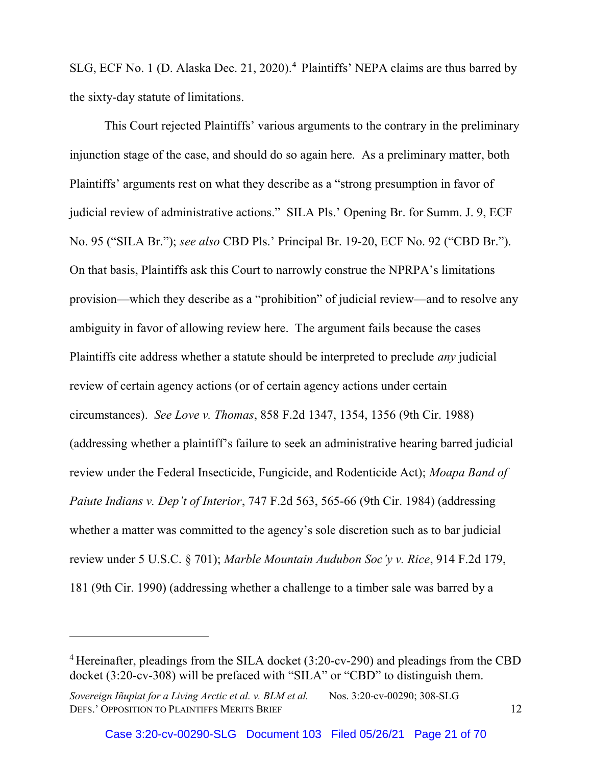SLG, ECF No. 1 (D. Alaska Dec. 21, 2020).<sup>4</sup> Plaintiffs' NEPA claims are thus barred by the sixty-day statute of limitations.

This Court rejected Plaintiffs' various arguments to the contrary in the preliminary injunction stage of the case, and should do so again here. As a preliminary matter, both Plaintiffs' arguments rest on what they describe as a "strong presumption in favor of judicial review of administrative actions." SILA Pls.' Opening Br. for Summ. J. 9, ECF No. 95 ("SILA Br."); see also CBD Pls.' Principal Br. 19-20, ECF No. 92 ("CBD Br."). On that basis, Plaintiffs ask this Court to narrowly construe the NPRPA's limitations provision—which they describe as a "prohibition" of judicial review—and to resolve any ambiguity in favor of allowing review here. The argument fails because the cases Plaintiffs cite address whether a statute should be interpreted to preclude *any* judicial review of certain agency actions (or of certain agency actions under certain circumstances). See Love v. Thomas, 858 F.2d 1347, 1354, 1356 (9th Cir. 1988) (addressing whether a plaintiff's failure to seek an administrative hearing barred judicial review under the Federal Insecticide, Fungicide, and Rodenticide Act); Moapa Band of Paiute Indians v. Dep't of Interior, 747 F.2d 563, 565-66 (9th Cir. 1984) (addressing whether a matter was committed to the agency's sole discretion such as to bar judicial review under 5 U.S.C. § 701); Marble Mountain Audubon Soc'y v. Rice, 914 F.2d 179, 181 (9th Cir. 1990) (addressing whether a challenge to a timber sale was barred by a

<sup>&</sup>lt;sup>4</sup> Hereinafter, pleadings from the SILA docket (3:20-cv-290) and pleadings from the CBD docket (3:20-cv-308) will be prefaced with "SILA" or "CBD" to distinguish them.

Sovereign Iñupiat for a Living Arctic et al. v. BLM et al. Nos. 3:20-cv-00290; 308-SLG DEFS.' OPPOSITION TO PLAINTIFFS MERITS BRIEF 12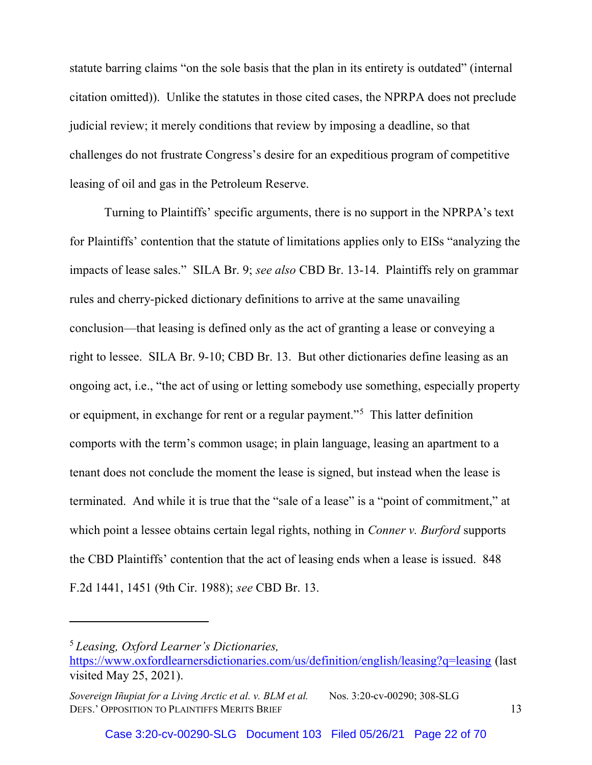statute barring claims "on the sole basis that the plan in its entirety is outdated" (internal citation omitted)). Unlike the statutes in those cited cases, the NPRPA does not preclude judicial review; it merely conditions that review by imposing a deadline, so that challenges do not frustrate Congress's desire for an expeditious program of competitive leasing of oil and gas in the Petroleum Reserve.

 Turning to Plaintiffs' specific arguments, there is no support in the NPRPA's text for Plaintiffs' contention that the statute of limitations applies only to EISs "analyzing the impacts of lease sales." SILA Br. 9; see also CBD Br. 13-14. Plaintiffs rely on grammar rules and cherry-picked dictionary definitions to arrive at the same unavailing conclusion—that leasing is defined only as the act of granting a lease or conveying a right to lessee. SILA Br. 9-10; CBD Br. 13. But other dictionaries define leasing as an ongoing act, i.e., "the act of using or letting somebody use something, especially property or equipment, in exchange for rent or a regular payment."<sup>5</sup> This latter definition comports with the term's common usage; in plain language, leasing an apartment to a tenant does not conclude the moment the lease is signed, but instead when the lease is terminated. And while it is true that the "sale of a lease" is a "point of commitment," at which point a lessee obtains certain legal rights, nothing in *Conner v. Burford* supports the CBD Plaintiffs' contention that the act of leasing ends when a lease is issued. 848 F.2d 1441, 1451 (9th Cir. 1988); see CBD Br. 13.

<sup>5</sup>Leasing, Oxford Learner's Dictionaries,

https://www.oxfordlearnersdictionaries.com/us/definition/english/leasing?q=leasing (last visited May 25, 2021).

Sovereign Iñupiat for a Living Arctic et al. v. BLM et al. Nos. 3:20-cv-00290; 308-SLG DEFS.' OPPOSITION TO PLAINTIFFS MERITS BRIEF 13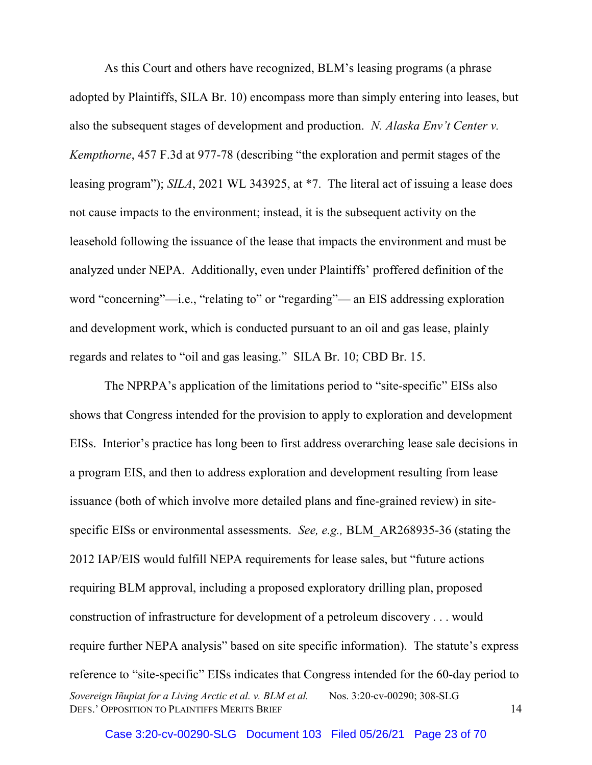As this Court and others have recognized, BLM's leasing programs (a phrase adopted by Plaintiffs, SILA Br. 10) encompass more than simply entering into leases, but also the subsequent stages of development and production. N. Alaska Env't Center v. Kempthorne, 457 F.3d at 977-78 (describing "the exploration and permit stages of the leasing program"); SILA, 2021 WL 343925, at \*7. The literal act of issuing a lease does not cause impacts to the environment; instead, it is the subsequent activity on the leasehold following the issuance of the lease that impacts the environment and must be analyzed under NEPA. Additionally, even under Plaintiffs' proffered definition of the word "concerning"—i.e., "relating to" or "regarding"— an EIS addressing exploration and development work, which is conducted pursuant to an oil and gas lease, plainly regards and relates to "oil and gas leasing." SILA Br. 10; CBD Br. 15.

Sovereign Iñupiat for a Living Arctic et al. v. BLM et al. Nos. 3:20-cv-00290; 308-SLG DEFS.' OPPOSITION TO PLAINTIFFS MERITS BRIEF 14 The NPRPA's application of the limitations period to "site-specific" EISs also shows that Congress intended for the provision to apply to exploration and development EISs. Interior's practice has long been to first address overarching lease sale decisions in a program EIS, and then to address exploration and development resulting from lease issuance (both of which involve more detailed plans and fine-grained review) in sitespecific EISs or environmental assessments. See, e.g., BLM\_AR268935-36 (stating the 2012 IAP/EIS would fulfill NEPA requirements for lease sales, but "future actions requiring BLM approval, including a proposed exploratory drilling plan, proposed construction of infrastructure for development of a petroleum discovery . . . would require further NEPA analysis" based on site specific information). The statute's express reference to "site-specific" EISs indicates that Congress intended for the 60-day period to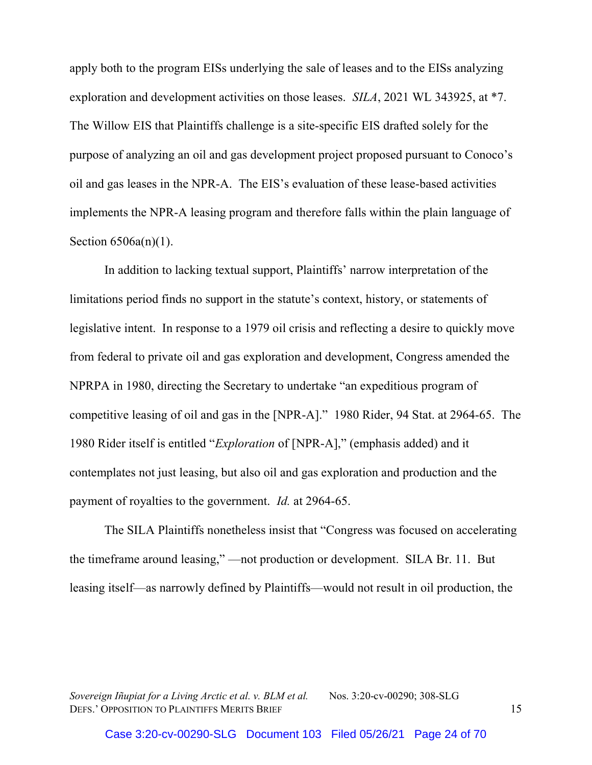apply both to the program EISs underlying the sale of leases and to the EISs analyzing exploration and development activities on those leases. SILA, 2021 WL 343925, at \*7. The Willow EIS that Plaintiffs challenge is a site-specific EIS drafted solely for the purpose of analyzing an oil and gas development project proposed pursuant to Conoco's oil and gas leases in the NPR-A. The EIS's evaluation of these lease-based activities implements the NPR-A leasing program and therefore falls within the plain language of Section 6506a(n)(1).

In addition to lacking textual support, Plaintiffs' narrow interpretation of the limitations period finds no support in the statute's context, history, or statements of legislative intent. In response to a 1979 oil crisis and reflecting a desire to quickly move from federal to private oil and gas exploration and development, Congress amended the NPRPA in 1980, directing the Secretary to undertake "an expeditious program of competitive leasing of oil and gas in the [NPR-A]." 1980 Rider, 94 Stat. at 2964-65. The 1980 Rider itself is entitled "Exploration of [NPR-A]," (emphasis added) and it contemplates not just leasing, but also oil and gas exploration and production and the payment of royalties to the government. Id. at 2964-65.

The SILA Plaintiffs nonetheless insist that "Congress was focused on accelerating the timeframe around leasing," —not production or development. SILA Br. 11. But leasing itself—as narrowly defined by Plaintiffs—would not result in oil production, the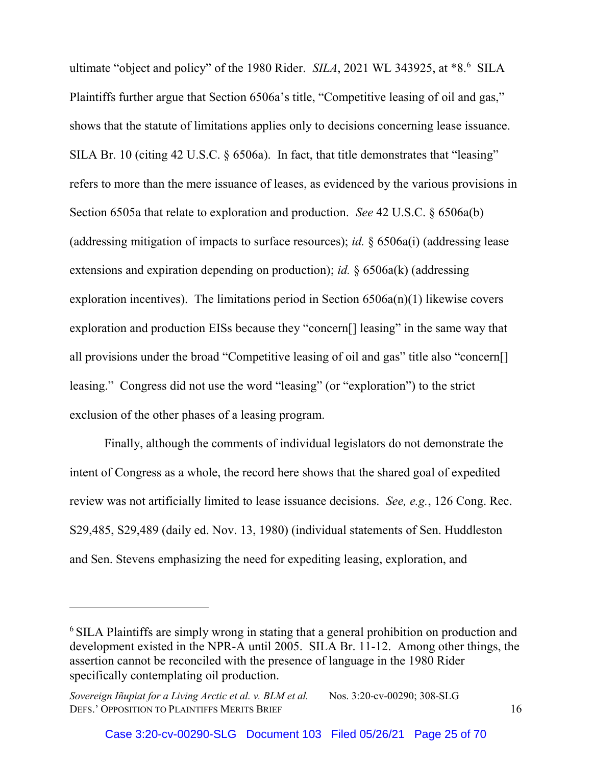ultimate "object and policy" of the 1980 Rider. SILA, 2021 WL 343925, at \*8.<sup>6</sup> SILA Plaintiffs further argue that Section 6506a's title, "Competitive leasing of oil and gas," shows that the statute of limitations applies only to decisions concerning lease issuance. SILA Br. 10 (citing 42 U.S.C. § 6506a). In fact, that title demonstrates that "leasing" refers to more than the mere issuance of leases, as evidenced by the various provisions in Section 6505a that relate to exploration and production. See 42 U.S.C. § 6506a(b) (addressing mitigation of impacts to surface resources); *id.*  $\frac{6}{506a(i)}$  (addressing lease extensions and expiration depending on production); *id.* § 6506a(k) (addressing exploration incentives). The limitations period in Section  $6506a(n)(1)$  likewise covers exploration and production EISs because they "concern[] leasing" in the same way that all provisions under the broad "Competitive leasing of oil and gas" title also "concern[] leasing." Congress did not use the word "leasing" (or "exploration") to the strict exclusion of the other phases of a leasing program.

Finally, although the comments of individual legislators do not demonstrate the intent of Congress as a whole, the record here shows that the shared goal of expedited review was not artificially limited to lease issuance decisions. See, e.g., 126 Cong. Rec. S29,485, S29,489 (daily ed. Nov. 13, 1980) (individual statements of Sen. Huddleston and Sen. Stevens emphasizing the need for expediting leasing, exploration, and

 $\overline{a}$ 

<sup>&</sup>lt;sup>6</sup> SILA Plaintiffs are simply wrong in stating that a general prohibition on production and development existed in the NPR-A until 2005. SILA Br. 11-12. Among other things, the assertion cannot be reconciled with the presence of language in the 1980 Rider specifically contemplating oil production.

Sovereign Iñupiat for a Living Arctic et al. v. BLM et al. Nos. 3:20-cv-00290; 308-SLG DEFS.' OPPOSITION TO PLAINTIFFS MERITS BRIEF 16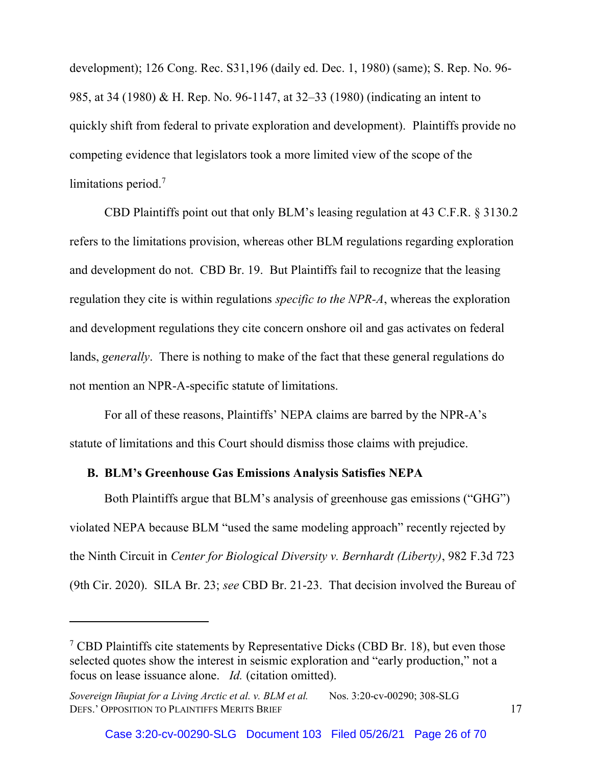development); 126 Cong. Rec. S31,196 (daily ed. Dec. 1, 1980) (same); S. Rep. No. 96- 985, at 34 (1980) & H. Rep. No. 96-1147, at 32–33 (1980) (indicating an intent to quickly shift from federal to private exploration and development). Plaintiffs provide no competing evidence that legislators took a more limited view of the scope of the limitations period.<sup>7</sup>

CBD Plaintiffs point out that only BLM's leasing regulation at 43 C.F.R. § 3130.2 refers to the limitations provision, whereas other BLM regulations regarding exploration and development do not. CBD Br. 19. But Plaintiffs fail to recognize that the leasing regulation they cite is within regulations *specific to the NPR-A*, whereas the exploration and development regulations they cite concern onshore oil and gas activates on federal lands, generally. There is nothing to make of the fact that these general regulations do not mention an NPR-A-specific statute of limitations.

For all of these reasons, Plaintiffs' NEPA claims are barred by the NPR-A's statute of limitations and this Court should dismiss those claims with prejudice.

### B. BLM's Greenhouse Gas Emissions Analysis Satisfies NEPA

 Both Plaintiffs argue that BLM's analysis of greenhouse gas emissions ("GHG") violated NEPA because BLM "used the same modeling approach" recently rejected by the Ninth Circuit in Center for Biological Diversity v. Bernhardt (Liberty), 982 F.3d 723 (9th Cir. 2020). SILA Br. 23; see CBD Br. 21-23. That decision involved the Bureau of

<sup>&</sup>lt;sup>7</sup> CBD Plaintiffs cite statements by Representative Dicks (CBD Br. 18), but even those selected quotes show the interest in seismic exploration and "early production," not a focus on lease issuance alone. Id. (citation omitted).

Sovereign Iñupiat for a Living Arctic et al. v. BLM et al. Nos. 3:20-cv-00290; 308-SLG DEFS.' OPPOSITION TO PLAINTIFFS MERITS BRIEF 17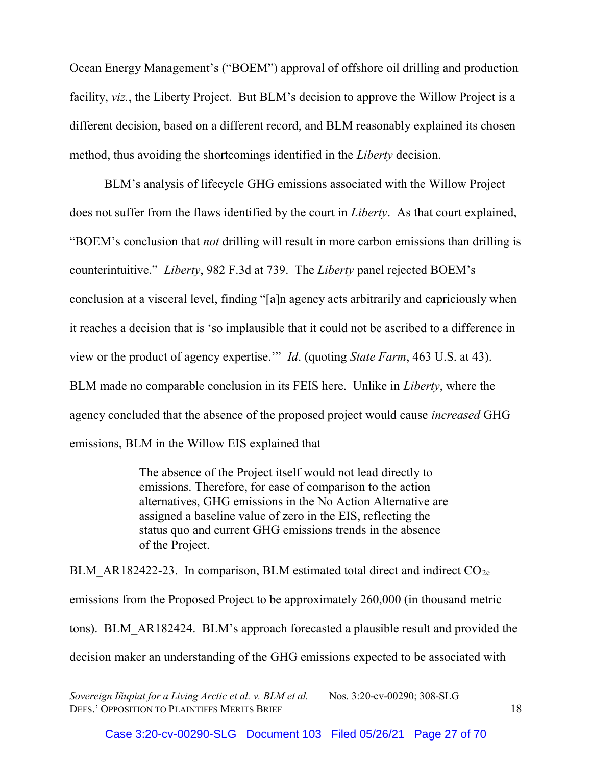Ocean Energy Management's ("BOEM") approval of offshore oil drilling and production facility, viz., the Liberty Project. But BLM's decision to approve the Willow Project is a different decision, based on a different record, and BLM reasonably explained its chosen method, thus avoiding the shortcomings identified in the Liberty decision.

 BLM's analysis of lifecycle GHG emissions associated with the Willow Project does not suffer from the flaws identified by the court in *Liberty*. As that court explained, "BOEM's conclusion that not drilling will result in more carbon emissions than drilling is counterintuitive." Liberty, 982 F.3d at 739. The Liberty panel rejected BOEM's conclusion at a visceral level, finding "[a]n agency acts arbitrarily and capriciously when it reaches a decision that is 'so implausible that it could not be ascribed to a difference in view or the product of agency expertise.'" Id. (quoting State Farm, 463 U.S. at 43). BLM made no comparable conclusion in its FEIS here. Unlike in *Liberty*, where the agency concluded that the absence of the proposed project would cause increased GHG emissions, BLM in the Willow EIS explained that

> The absence of the Project itself would not lead directly to emissions. Therefore, for ease of comparison to the action alternatives, GHG emissions in the No Action Alternative are assigned a baseline value of zero in the EIS, reflecting the status quo and current GHG emissions trends in the absence of the Project.

BLM\_AR182422-23. In comparison, BLM estimated total direct and indirect  $CO_{2e}$ emissions from the Proposed Project to be approximately 260,000 (in thousand metric tons). BLM\_AR182424. BLM's approach forecasted a plausible result and provided the decision maker an understanding of the GHG emissions expected to be associated with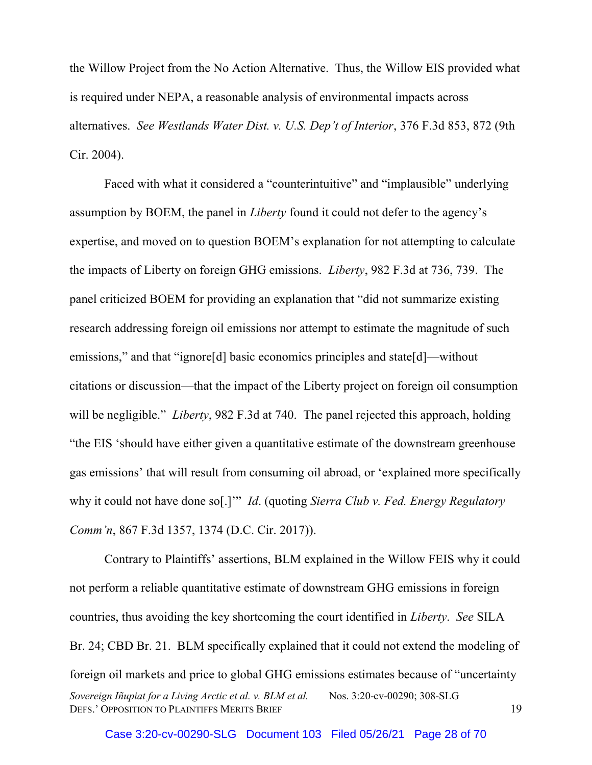the Willow Project from the No Action Alternative. Thus, the Willow EIS provided what is required under NEPA, a reasonable analysis of environmental impacts across alternatives. See Westlands Water Dist. v. U.S. Dep't of Interior, 376 F.3d 853, 872 (9th Cir. 2004).

 Faced with what it considered a "counterintuitive" and "implausible" underlying assumption by BOEM, the panel in Liberty found it could not defer to the agency's expertise, and moved on to question BOEM's explanation for not attempting to calculate the impacts of Liberty on foreign GHG emissions. Liberty, 982 F.3d at 736, 739. The panel criticized BOEM for providing an explanation that "did not summarize existing research addressing foreign oil emissions nor attempt to estimate the magnitude of such emissions," and that "ignore<sup>[d]</sup> basic economics principles and state<sup>[d]</sup>—without citations or discussion—that the impact of the Liberty project on foreign oil consumption will be negligible." *Liberty*, 982 F.3d at 740. The panel rejected this approach, holding "the EIS 'should have either given a quantitative estimate of the downstream greenhouse gas emissions' that will result from consuming oil abroad, or 'explained more specifically why it could not have done so[.]'" Id. (quoting Sierra Club v. Fed. Energy Regulatory Comm'n, 867 F.3d 1357, 1374 (D.C. Cir. 2017)).

Sovereign Iñupiat for a Living Arctic et al. v. BLM et al. Nos. 3:20-cv-00290; 308-SLG DEFS.' OPPOSITION TO PLAINTIFFS MERITS BRIEF 19 2000 10 2000 19 Contrary to Plaintiffs' assertions, BLM explained in the Willow FEIS why it could not perform a reliable quantitative estimate of downstream GHG emissions in foreign countries, thus avoiding the key shortcoming the court identified in Liberty. See SILA Br. 24; CBD Br. 21. BLM specifically explained that it could not extend the modeling of foreign oil markets and price to global GHG emissions estimates because of "uncertainty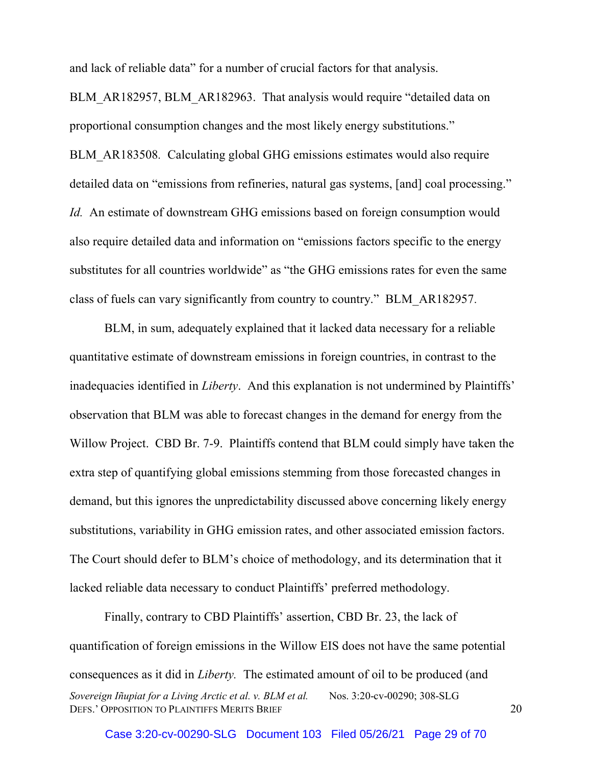and lack of reliable data" for a number of crucial factors for that analysis.

BLM\_AR182957, BLM\_AR182963. That analysis would require "detailed data on proportional consumption changes and the most likely energy substitutions." BLM\_AR183508. Calculating global GHG emissions estimates would also require detailed data on "emissions from refineries, natural gas systems, [and] coal processing." Id. An estimate of downstream GHG emissions based on foreign consumption would also require detailed data and information on "emissions factors specific to the energy substitutes for all countries worldwide" as "the GHG emissions rates for even the same class of fuels can vary significantly from country to country." BLM\_AR182957.

BLM, in sum, adequately explained that it lacked data necessary for a reliable quantitative estimate of downstream emissions in foreign countries, in contrast to the inadequacies identified in *Liberty*. And this explanation is not undermined by Plaintiffs' observation that BLM was able to forecast changes in the demand for energy from the Willow Project. CBD Br. 7-9. Plaintiffs contend that BLM could simply have taken the extra step of quantifying global emissions stemming from those forecasted changes in demand, but this ignores the unpredictability discussed above concerning likely energy substitutions, variability in GHG emission rates, and other associated emission factors. The Court should defer to BLM's choice of methodology, and its determination that it lacked reliable data necessary to conduct Plaintiffs' preferred methodology.

Sovereign Iñupiat for a Living Arctic et al. v. BLM et al. Nos. 3:20-cv-00290; 308-SLG DEFS.' OPPOSITION TO PLAINTIFFS MERITS BRIEF 20 Finally, contrary to CBD Plaintiffs' assertion, CBD Br. 23, the lack of quantification of foreign emissions in the Willow EIS does not have the same potential consequences as it did in Liberty. The estimated amount of oil to be produced (and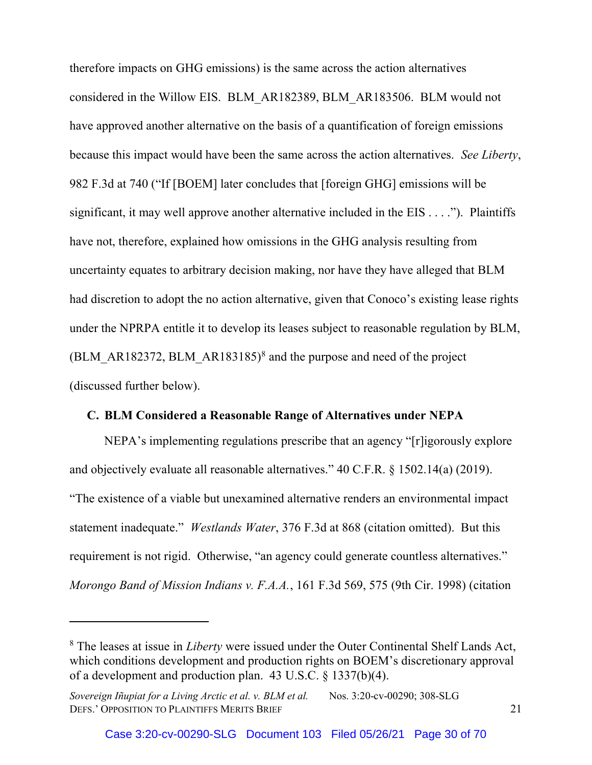therefore impacts on GHG emissions) is the same across the action alternatives considered in the Willow EIS. BLM\_AR182389, BLM\_AR183506. BLM would not have approved another alternative on the basis of a quantification of foreign emissions because this impact would have been the same across the action alternatives. See Liberty, 982 F.3d at 740 ("If [BOEM] later concludes that [foreign GHG] emissions will be significant, it may well approve another alternative included in the  $EIS \dots$ "). Plaintiffs have not, therefore, explained how omissions in the GHG analysis resulting from uncertainty equates to arbitrary decision making, nor have they have alleged that BLM had discretion to adopt the no action alternative, given that Conoco's existing lease rights under the NPRPA entitle it to develop its leases subject to reasonable regulation by BLM,  $(BLM_AR182372, BLM_AR183185)^8$  and the purpose and need of the project (discussed further below).

### C. BLM Considered a Reasonable Range of Alternatives under NEPA

 NEPA's implementing regulations prescribe that an agency "[r]igorously explore and objectively evaluate all reasonable alternatives." 40 C.F.R. § 1502.14(a) (2019). "The existence of a viable but unexamined alternative renders an environmental impact statement inadequate." Westlands Water, 376 F.3d at 868 (citation omitted). But this requirement is not rigid. Otherwise, "an agency could generate countless alternatives." Morongo Band of Mission Indians v. F.A.A., 161 F.3d 569, 575 (9th Cir. 1998) (citation

 $8$  The leases at issue in *Liberty* were issued under the Outer Continental Shelf Lands Act, which conditions development and production rights on BOEM's discretionary approval of a development and production plan. 43 U.S.C. § 1337(b)(4).

Sovereign Iñupiat for a Living Arctic et al. v. BLM et al. Nos. 3:20-cv-00290; 308-SLG DEFS.' OPPOSITION TO PLAINTIFFS MERITS BRIEF 21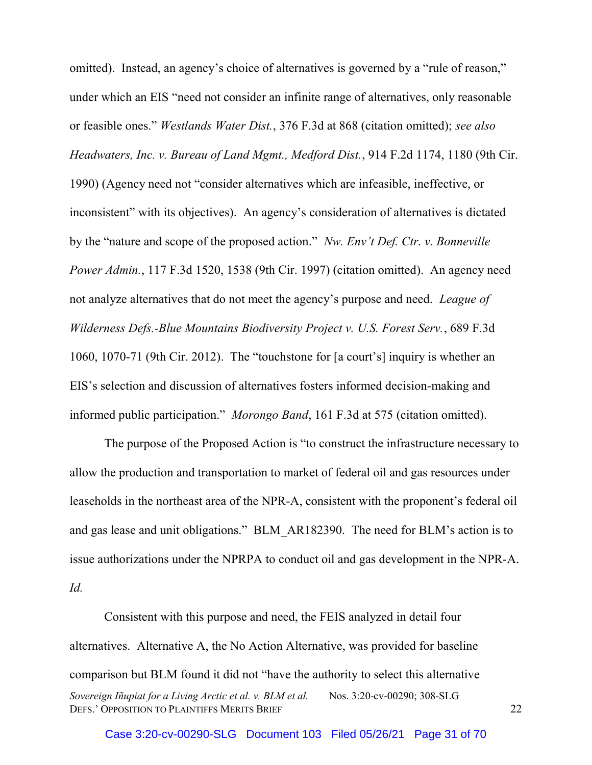omitted). Instead, an agency's choice of alternatives is governed by a "rule of reason," under which an EIS "need not consider an infinite range of alternatives, only reasonable or feasible ones." Westlands Water Dist., 376 F.3d at 868 (citation omitted); see also Headwaters, Inc. v. Bureau of Land Mgmt., Medford Dist., 914 F.2d 1174, 1180 (9th Cir. 1990) (Agency need not "consider alternatives which are infeasible, ineffective, or inconsistent" with its objectives). An agency's consideration of alternatives is dictated by the "nature and scope of the proposed action." Nw. Env't Def. Ctr. v. Bonneville Power Admin., 117 F.3d 1520, 1538 (9th Cir. 1997) (citation omitted). An agency need not analyze alternatives that do not meet the agency's purpose and need. League of Wilderness Defs.-Blue Mountains Biodiversity Project v. U.S. Forest Serv., 689 F.3d 1060, 1070-71 (9th Cir. 2012). The "touchstone for [a court's] inquiry is whether an EIS's selection and discussion of alternatives fosters informed decision-making and informed public participation." Morongo Band, 161 F.3d at 575 (citation omitted).

 The purpose of the Proposed Action is "to construct the infrastructure necessary to allow the production and transportation to market of federal oil and gas resources under leaseholds in the northeast area of the NPR-A, consistent with the proponent's federal oil and gas lease and unit obligations." BLM\_AR182390. The need for BLM's action is to issue authorizations under the NPRPA to conduct oil and gas development in the NPR-A. Id.

Sovereign Iñupiat for a Living Arctic et al. v. BLM et al. Nos. 3:20-cv-00290; 308-SLG DEFS.' OPPOSITION TO PLAINTIFFS MERITS BRIEF 22 Consistent with this purpose and need, the FEIS analyzed in detail four alternatives. Alternative A, the No Action Alternative, was provided for baseline comparison but BLM found it did not "have the authority to select this alternative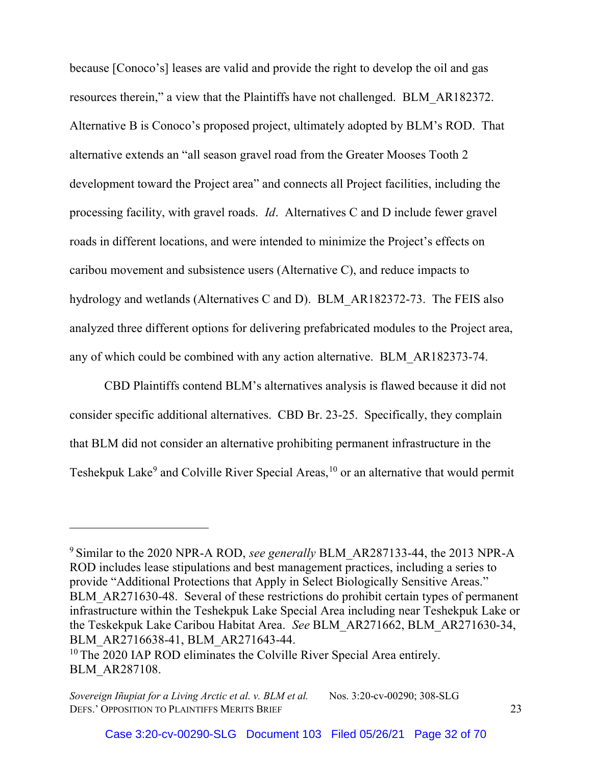because [Conoco's] leases are valid and provide the right to develop the oil and gas resources therein," a view that the Plaintiffs have not challenged. BLM\_AR182372. Alternative B is Conoco's proposed project, ultimately adopted by BLM's ROD. That alternative extends an "all season gravel road from the Greater Mooses Tooth 2 development toward the Project area" and connects all Project facilities, including the processing facility, with gravel roads. Id. Alternatives C and D include fewer gravel roads in different locations, and were intended to minimize the Project's effects on caribou movement and subsistence users (Alternative C), and reduce impacts to hydrology and wetlands (Alternatives C and D). BLM\_AR182372-73. The FEIS also analyzed three different options for delivering prefabricated modules to the Project area, any of which could be combined with any action alternative. BLM\_AR182373-74.

 CBD Plaintiffs contend BLM's alternatives analysis is flawed because it did not consider specific additional alternatives. CBD Br. 23-25. Specifically, they complain that BLM did not consider an alternative prohibiting permanent infrastructure in the Teshekpuk Lake<sup>9</sup> and Colville River Special Areas,  $10$  or an alternative that would permit

-

<sup>&</sup>lt;sup>9</sup> Similar to the 2020 NPR-A ROD, see generally BLM AR287133-44, the 2013 NPR-A ROD includes lease stipulations and best management practices, including a series to provide "Additional Protections that Apply in Select Biologically Sensitive Areas." BLM AR271630-48. Several of these restrictions do prohibit certain types of permanent infrastructure within the Teshekpuk Lake Special Area including near Teshekpuk Lake or the Teskekpuk Lake Caribou Habitat Area. See BLM\_AR271662, BLM\_AR271630-34, BLM\_AR2716638-41, BLM\_AR271643-44.

<sup>&</sup>lt;sup>10</sup>The 2020 IAP ROD eliminates the Colville River Special Area entirely. BLM\_AR287108.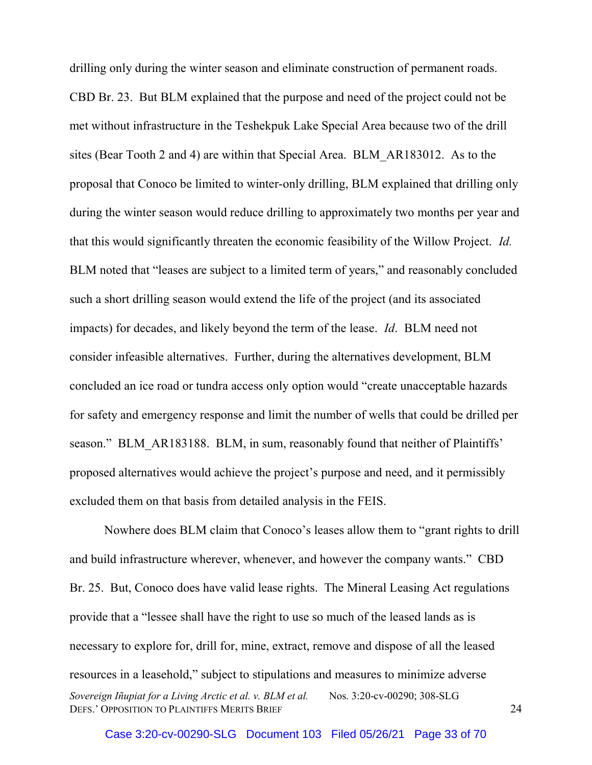drilling only during the winter season and eliminate construction of permanent roads. CBD Br. 23. But BLM explained that the purpose and need of the project could not be met without infrastructure in the Teshekpuk Lake Special Area because two of the drill sites (Bear Tooth 2 and 4) are within that Special Area. BLM\_AR183012. As to the proposal that Conoco be limited to winter-only drilling, BLM explained that drilling only during the winter season would reduce drilling to approximately two months per year and that this would significantly threaten the economic feasibility of the Willow Project. Id. BLM noted that "leases are subject to a limited term of years," and reasonably concluded such a short drilling season would extend the life of the project (and its associated impacts) for decades, and likely beyond the term of the lease. Id. BLM need not consider infeasible alternatives. Further, during the alternatives development, BLM concluded an ice road or tundra access only option would "create unacceptable hazards for safety and emergency response and limit the number of wells that could be drilled per season." BLM\_AR183188. BLM, in sum, reasonably found that neither of Plaintiffs' proposed alternatives would achieve the project's purpose and need, and it permissibly excluded them on that basis from detailed analysis in the FEIS.

Sovereign Iñupiat for a Living Arctic et al. v. BLM et al. Nos. 3:20-cv-00290; 308-SLG DEFS.' OPPOSITION TO PLAINTIFFS MERITS BRIEF 24 Nowhere does BLM claim that Conoco's leases allow them to "grant rights to drill and build infrastructure wherever, whenever, and however the company wants." CBD Br. 25. But, Conoco does have valid lease rights. The Mineral Leasing Act regulations provide that a "lessee shall have the right to use so much of the leased lands as is necessary to explore for, drill for, mine, extract, remove and dispose of all the leased resources in a leasehold," subject to stipulations and measures to minimize adverse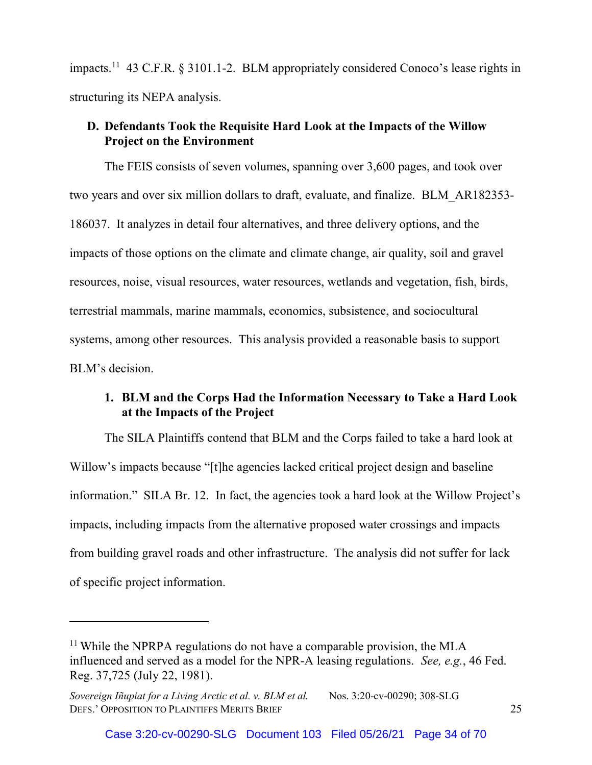impacts.<sup>11</sup> 43 C.F.R. § 3101.1-2. BLM appropriately considered Conoco's lease rights in structuring its NEPA analysis.

## D. Defendants Took the Requisite Hard Look at the Impacts of the Willow Project on the Environment

The FEIS consists of seven volumes, spanning over 3,600 pages, and took over two years and over six million dollars to draft, evaluate, and finalize. BLM\_AR182353- 186037. It analyzes in detail four alternatives, and three delivery options, and the impacts of those options on the climate and climate change, air quality, soil and gravel resources, noise, visual resources, water resources, wetlands and vegetation, fish, birds, terrestrial mammals, marine mammals, economics, subsistence, and sociocultural systems, among other resources. This analysis provided a reasonable basis to support BLM's decision.

## 1. BLM and the Corps Had the Information Necessary to Take a Hard Look at the Impacts of the Project

The SILA Plaintiffs contend that BLM and the Corps failed to take a hard look at Willow's impacts because "[t]he agencies lacked critical project design and baseline information." SILA Br. 12. In fact, the agencies took a hard look at the Willow Project's impacts, including impacts from the alternative proposed water crossings and impacts from building gravel roads and other infrastructure. The analysis did not suffer for lack of specific project information.

<sup>&</sup>lt;sup>11</sup> While the NPRPA regulations do not have a comparable provision, the MLA influenced and served as a model for the NPR-A leasing regulations. See, e.g., 46 Fed. Reg. 37,725 (July 22, 1981).

Sovereign Iñupiat for a Living Arctic et al. v. BLM et al. Nos. 3:20-cv-00290; 308-SLG DEFS.' OPPOSITION TO PLAINTIFFS MERITS BRIEF 25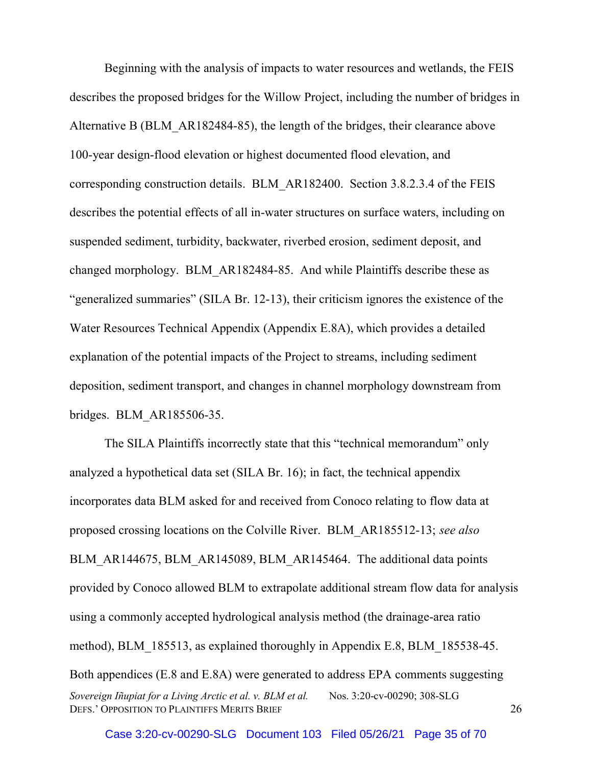Beginning with the analysis of impacts to water resources and wetlands, the FEIS describes the proposed bridges for the Willow Project, including the number of bridges in Alternative B (BLM\_AR182484-85), the length of the bridges, their clearance above 100-year design-flood elevation or highest documented flood elevation, and corresponding construction details. BLM\_AR182400. Section 3.8.2.3.4 of the FEIS describes the potential effects of all in-water structures on surface waters, including on suspended sediment, turbidity, backwater, riverbed erosion, sediment deposit, and changed morphology. BLM\_AR182484-85. And while Plaintiffs describe these as "generalized summaries" (SILA Br. 12-13), their criticism ignores the existence of the Water Resources Technical Appendix (Appendix E.8A), which provides a detailed explanation of the potential impacts of the Project to streams, including sediment deposition, sediment transport, and changes in channel morphology downstream from bridges. BLM\_AR185506-35.

Sovereign Iñupiat for a Living Arctic et al. v. BLM et al. Nos. 3:20-cv-00290; 308-SLG DEFS.' OPPOSITION TO PLAINTIFFS MERITS BRIEF 26 The SILA Plaintiffs incorrectly state that this "technical memorandum" only analyzed a hypothetical data set (SILA Br. 16); in fact, the technical appendix incorporates data BLM asked for and received from Conoco relating to flow data at proposed crossing locations on the Colville River. BLM\_AR185512-13; see also BLM\_AR144675, BLM\_AR145089, BLM\_AR145464. The additional data points provided by Conoco allowed BLM to extrapolate additional stream flow data for analysis using a commonly accepted hydrological analysis method (the drainage-area ratio method), BLM 185513, as explained thoroughly in Appendix E.8, BLM 185538-45. Both appendices (E.8 and E.8A) were generated to address EPA comments suggesting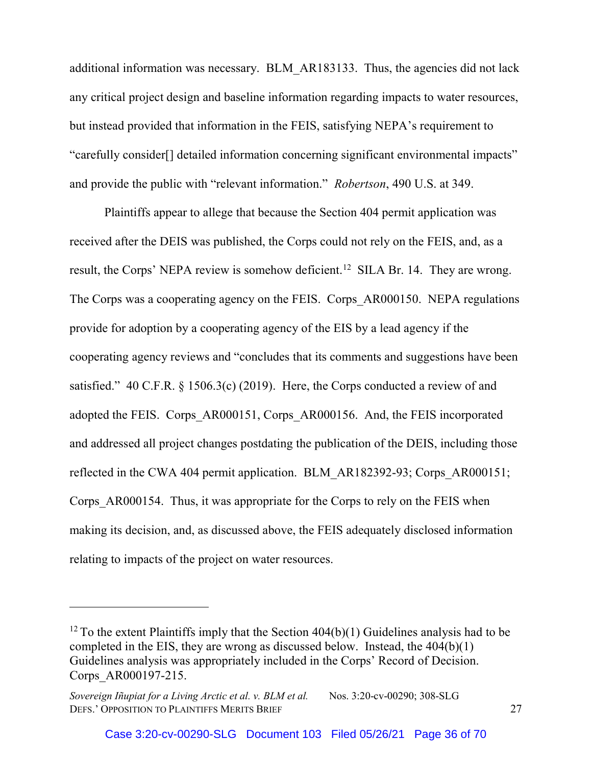additional information was necessary. BLM\_AR183133. Thus, the agencies did not lack any critical project design and baseline information regarding impacts to water resources, but instead provided that information in the FEIS, satisfying NEPA's requirement to "carefully consider[] detailed information concerning significant environmental impacts" and provide the public with "relevant information." Robertson, 490 U.S. at 349.

Plaintiffs appear to allege that because the Section 404 permit application was received after the DEIS was published, the Corps could not rely on the FEIS, and, as a result, the Corps' NEPA review is somehow deficient.<sup>12</sup> SILA Br. 14. They are wrong. The Corps was a cooperating agency on the FEIS. Corps\_AR000150. NEPA regulations provide for adoption by a cooperating agency of the EIS by a lead agency if the cooperating agency reviews and "concludes that its comments and suggestions have been satisfied." 40 C.F.R. § 1506.3(c) (2019). Here, the Corps conducted a review of and adopted the FEIS. Corps\_AR000151, Corps\_AR000156. And, the FEIS incorporated and addressed all project changes postdating the publication of the DEIS, including those reflected in the CWA 404 permit application. BLM\_AR182392-93; Corps\_AR000151; Corps\_AR000154. Thus, it was appropriate for the Corps to rely on the FEIS when making its decision, and, as discussed above, the FEIS adequately disclosed information relating to impacts of the project on water resources.

 $\overline{a}$ 

<sup>&</sup>lt;sup>12</sup> To the extent Plaintiffs imply that the Section  $404(b)(1)$  Guidelines analysis had to be completed in the EIS, they are wrong as discussed below. Instead, the 404(b)(1) Guidelines analysis was appropriately included in the Corps' Record of Decision. Corps\_AR000197-215.

Sovereign Iñupiat for a Living Arctic et al. v. BLM et al. Nos. 3:20-cv-00290; 308-SLG DEFS.' OPPOSITION TO PLAINTIFFS MERITS BRIEF 27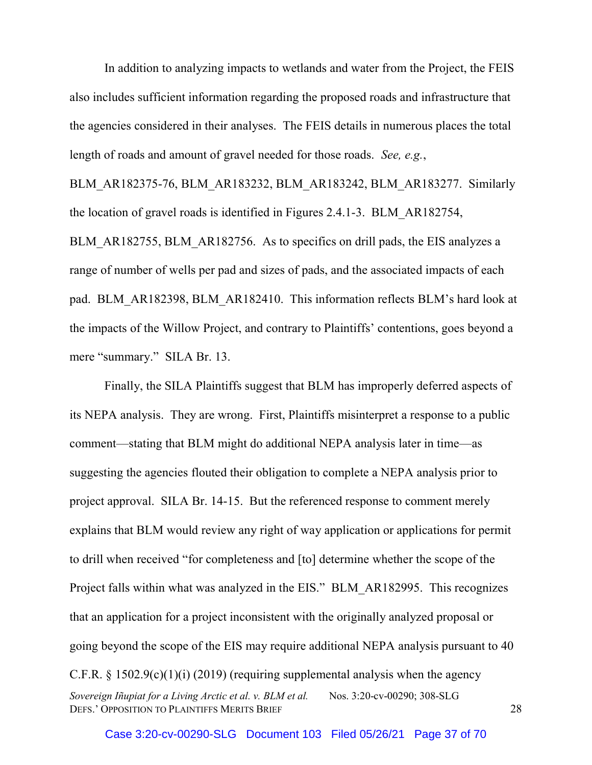In addition to analyzing impacts to wetlands and water from the Project, the FEIS also includes sufficient information regarding the proposed roads and infrastructure that the agencies considered in their analyses. The FEIS details in numerous places the total length of roads and amount of gravel needed for those roads. See, e.g.,

BLM\_AR182375-76, BLM\_AR183232, BLM\_AR183242, BLM\_AR183277. Similarly the location of gravel roads is identified in Figures 2.4.1-3. BLM\_AR182754,

BLM\_AR182755, BLM\_AR182756. As to specifics on drill pads, the EIS analyzes a range of number of wells per pad and sizes of pads, and the associated impacts of each pad. BLM\_AR182398, BLM\_AR182410. This information reflects BLM's hard look at the impacts of the Willow Project, and contrary to Plaintiffs' contentions, goes beyond a mere "summary." SILA Br. 13.

Sovereign Iñupiat for a Living Arctic et al. v. BLM et al. Nos. 3:20-cv-00290; 308-SLG DEFS.' OPPOSITION TO PLAINTIFFS MERITS BRIEF 28 Finally, the SILA Plaintiffs suggest that BLM has improperly deferred aspects of its NEPA analysis. They are wrong. First, Plaintiffs misinterpret a response to a public comment—stating that BLM might do additional NEPA analysis later in time—as suggesting the agencies flouted their obligation to complete a NEPA analysis prior to project approval. SILA Br. 14-15. But the referenced response to comment merely explains that BLM would review any right of way application or applications for permit to drill when received "for completeness and [to] determine whether the scope of the Project falls within what was analyzed in the EIS." BLM\_AR182995. This recognizes that an application for a project inconsistent with the originally analyzed proposal or going beyond the scope of the EIS may require additional NEPA analysis pursuant to 40 C.F.R.  $\S$  1502.9(c)(1)(i) (2019) (requiring supplemental analysis when the agency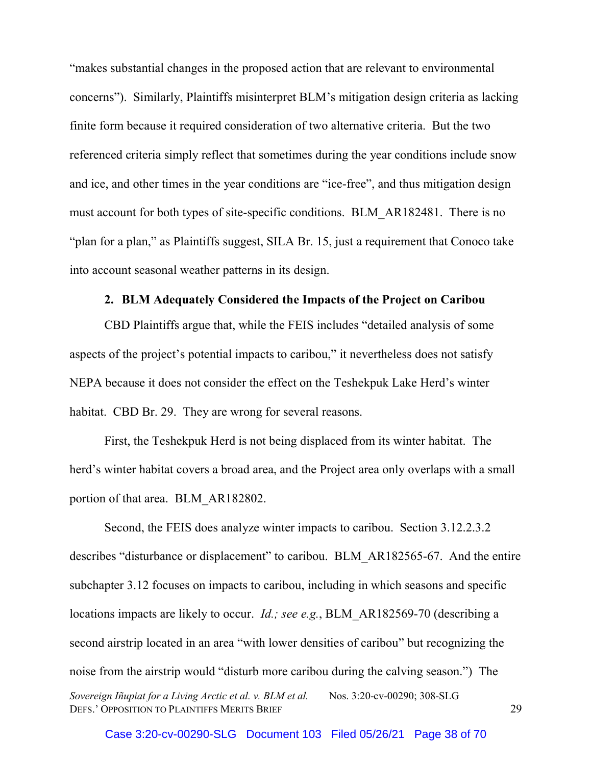"makes substantial changes in the proposed action that are relevant to environmental concerns"). Similarly, Plaintiffs misinterpret BLM's mitigation design criteria as lacking finite form because it required consideration of two alternative criteria. But the two referenced criteria simply reflect that sometimes during the year conditions include snow and ice, and other times in the year conditions are "ice-free", and thus mitigation design must account for both types of site-specific conditions. BLM\_AR182481. There is no "plan for a plan," as Plaintiffs suggest, SILA Br. 15, just a requirement that Conoco take into account seasonal weather patterns in its design.

### 2. BLM Adequately Considered the Impacts of the Project on Caribou

CBD Plaintiffs argue that, while the FEIS includes "detailed analysis of some aspects of the project's potential impacts to caribou," it nevertheless does not satisfy NEPA because it does not consider the effect on the Teshekpuk Lake Herd's winter habitat. CBD Br. 29. They are wrong for several reasons.

First, the Teshekpuk Herd is not being displaced from its winter habitat. The herd's winter habitat covers a broad area, and the Project area only overlaps with a small portion of that area. BLM\_AR182802.

Sovereign Iñupiat for a Living Arctic et al. v. BLM et al. Nos. 3:20-cv-00290; 308-SLG DEFS.' OPPOSITION TO PLAINTIFFS MERITS BRIEF 29 Second, the FEIS does analyze winter impacts to caribou. Section 3.12.2.3.2 describes "disturbance or displacement" to caribou. BLM\_AR182565-67. And the entire subchapter 3.12 focuses on impacts to caribou, including in which seasons and specific locations impacts are likely to occur. *Id.; see e.g.*, BLM\_AR182569-70 (describing a second airstrip located in an area "with lower densities of caribou" but recognizing the noise from the airstrip would "disturb more caribou during the calving season.") The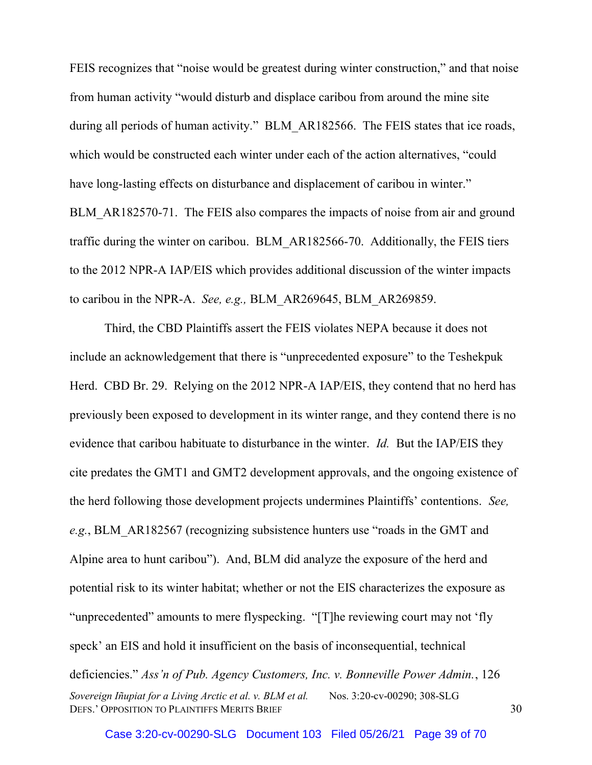FEIS recognizes that "noise would be greatest during winter construction," and that noise from human activity "would disturb and displace caribou from around the mine site during all periods of human activity." BLM\_AR182566. The FEIS states that ice roads, which would be constructed each winter under each of the action alternatives, "could have long-lasting effects on disturbance and displacement of caribou in winter." BLM AR182570-71. The FEIS also compares the impacts of noise from air and ground traffic during the winter on caribou. BLM\_AR182566-70. Additionally, the FEIS tiers to the 2012 NPR-A IAP/EIS which provides additional discussion of the winter impacts to caribou in the NPR-A. See, e.g., BLM\_AR269645, BLM\_AR269859.

Sovereign Iñupiat for a Living Arctic et al. v. BLM et al. Nos. 3:20-cv-00290; 308-SLG DEFS.' OPPOSITION TO PLAINTIFFS MERITS BRIEF 30 Third, the CBD Plaintiffs assert the FEIS violates NEPA because it does not include an acknowledgement that there is "unprecedented exposure" to the Teshekpuk Herd. CBD Br. 29. Relying on the 2012 NPR-A IAP/EIS, they contend that no herd has previously been exposed to development in its winter range, and they contend there is no evidence that caribou habituate to disturbance in the winter. *Id*. But the IAP/EIS they cite predates the GMT1 and GMT2 development approvals, and the ongoing existence of the herd following those development projects undermines Plaintiffs' contentions. See, e.g., BLM AR182567 (recognizing subsistence hunters use "roads in the GMT and Alpine area to hunt caribou"). And, BLM did analyze the exposure of the herd and potential risk to its winter habitat; whether or not the EIS characterizes the exposure as "unprecedented" amounts to mere flyspecking. "[T]he reviewing court may not 'fly speck' an EIS and hold it insufficient on the basis of inconsequential, technical deficiencies." Ass'n of Pub. Agency Customers, Inc. v. Bonneville Power Admin., 126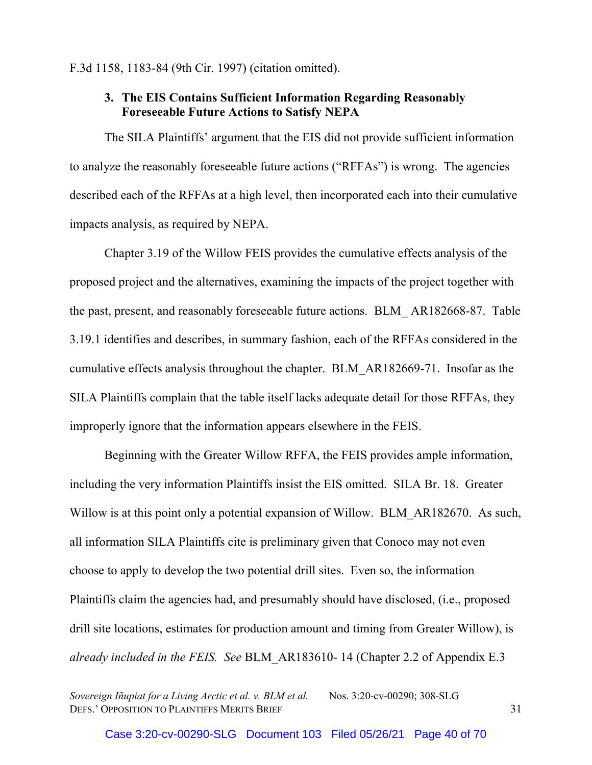F.3d 1158, 1183-84 (9th Cir. 1997) (citation omitted).

### 3. The EIS Contains Sufficient Information Regarding Reasonably Foreseeable Future Actions to Satisfy NEPA

The SILA Plaintiffs' argument that the EIS did not provide sufficient information to analyze the reasonably foreseeable future actions ("RFFAs") is wrong. The agencies described each of the RFFAs at a high level, then incorporated each into their cumulative impacts analysis, as required by NEPA.

Chapter 3.19 of the Willow FEIS provides the cumulative effects analysis of the proposed project and the alternatives, examining the impacts of the project together with the past, present, and reasonably foreseeable future actions. BLM\_ AR182668-87. Table 3.19.1 identifies and describes, in summary fashion, each of the RFFAs considered in the cumulative effects analysis throughout the chapter. BLM\_AR182669-71. Insofar as the SILA Plaintiffs complain that the table itself lacks adequate detail for those RFFAs, they improperly ignore that the information appears elsewhere in the FEIS.

Beginning with the Greater Willow RFFA, the FEIS provides ample information, including the very information Plaintiffs insist the EIS omitted. SILA Br. 18. Greater Willow is at this point only a potential expansion of Willow. BLM AR182670. As such, all information SILA Plaintiffs cite is preliminary given that Conoco may not even choose to apply to develop the two potential drill sites. Even so, the information Plaintiffs claim the agencies had, and presumably should have disclosed, (i.e., proposed drill site locations, estimates for production amount and timing from Greater Willow), is already included in the FEIS. See BLM\_AR183610- 14 (Chapter 2.2 of Appendix E.3

Sovereign Iñupiat for a Living Arctic et al. v. BLM et al. Nos. 3:20-cv-00290; 308-SLG DEFS.' OPPOSITION TO PLAINTIFFS MERITS BRIEF 31 AND 200 1 200 200 200 200 200 31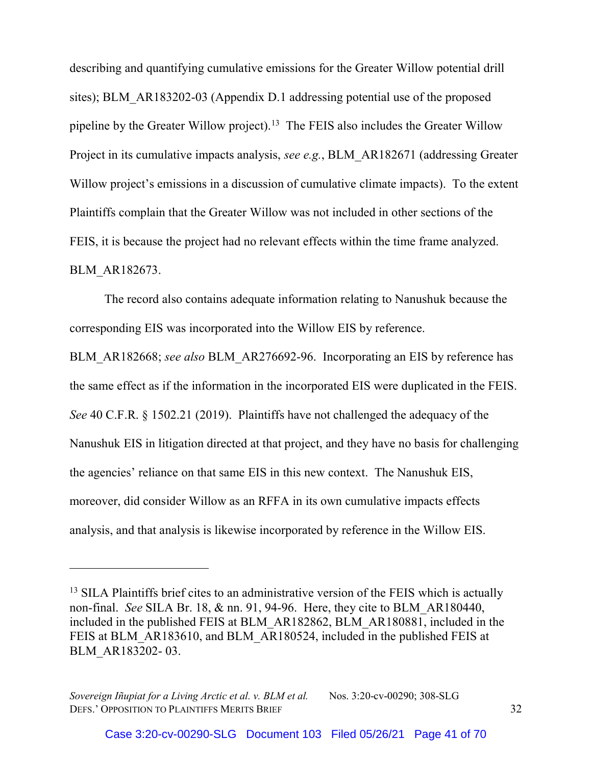describing and quantifying cumulative emissions for the Greater Willow potential drill sites); BLM\_AR183202-03 (Appendix D.1 addressing potential use of the proposed pipeline by the Greater Willow project).<sup>13</sup> The FEIS also includes the Greater Willow Project in its cumulative impacts analysis, see e.g., BLM\_AR182671 (addressing Greater Willow project's emissions in a discussion of cumulative climate impacts). To the extent Plaintiffs complain that the Greater Willow was not included in other sections of the FEIS, it is because the project had no relevant effects within the time frame analyzed. BLM\_AR182673.

The record also contains adequate information relating to Nanushuk because the corresponding EIS was incorporated into the Willow EIS by reference.

BLM\_AR182668; see also BLM\_AR276692-96. Incorporating an EIS by reference has the same effect as if the information in the incorporated EIS were duplicated in the FEIS. See 40 C.F.R. § 1502.21 (2019). Plaintiffs have not challenged the adequacy of the Nanushuk EIS in litigation directed at that project, and they have no basis for challenging the agencies' reliance on that same EIS in this new context. The Nanushuk EIS, moreover, did consider Willow as an RFFA in its own cumulative impacts effects analysis, and that analysis is likewise incorporated by reference in the Willow EIS.

 $13$  SILA Plaintiffs brief cites to an administrative version of the FEIS which is actually non-final. See SILA Br. 18, & nn. 91, 94-96. Here, they cite to BLM\_AR180440, included in the published FEIS at BLM\_AR182862, BLM\_AR180881, included in the FEIS at BLM\_AR183610, and BLM\_AR180524, included in the published FEIS at BLM\_AR183202- 03.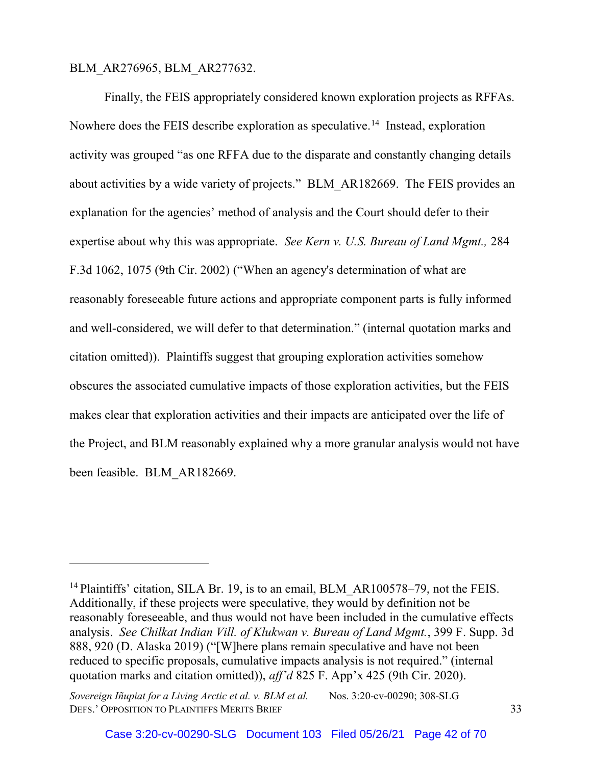BLM\_AR276965, BLM\_AR277632.

Finally, the FEIS appropriately considered known exploration projects as RFFAs. Nowhere does the FEIS describe exploration as speculative.<sup>14</sup> Instead, exploration activity was grouped "as one RFFA due to the disparate and constantly changing details about activities by a wide variety of projects." BLM\_AR182669. The FEIS provides an explanation for the agencies' method of analysis and the Court should defer to their expertise about why this was appropriate. See Kern v. U.S. Bureau of Land Mgmt., 284 F.3d 1062, 1075 (9th Cir. 2002) ("When an agency's determination of what are reasonably foreseeable future actions and appropriate component parts is fully informed and well-considered, we will defer to that determination." (internal quotation marks and citation omitted)). Plaintiffs suggest that grouping exploration activities somehow obscures the associated cumulative impacts of those exploration activities, but the FEIS makes clear that exploration activities and their impacts are anticipated over the life of the Project, and BLM reasonably explained why a more granular analysis would not have been feasible. BLM\_AR182669.

<sup>&</sup>lt;sup>14</sup> Plaintiffs' citation, SILA Br. 19, is to an email, BLM AR100578–79, not the FEIS. Additionally, if these projects were speculative, they would by definition not be reasonably foreseeable, and thus would not have been included in the cumulative effects analysis. See Chilkat Indian Vill. of Klukwan v. Bureau of Land Mgmt., 399 F. Supp. 3d 888, 920 (D. Alaska 2019) ("[W]here plans remain speculative and have not been reduced to specific proposals, cumulative impacts analysis is not required." (internal quotation marks and citation omitted)), aff'd 825 F. App'x 425 (9th Cir. 2020).

Sovereign Iñupiat for a Living Arctic et al. v. BLM et al. Nos. 3:20-cv-00290; 308-SLG DEFS.' OPPOSITION TO PLAINTIFFS MERITS BRIEF 33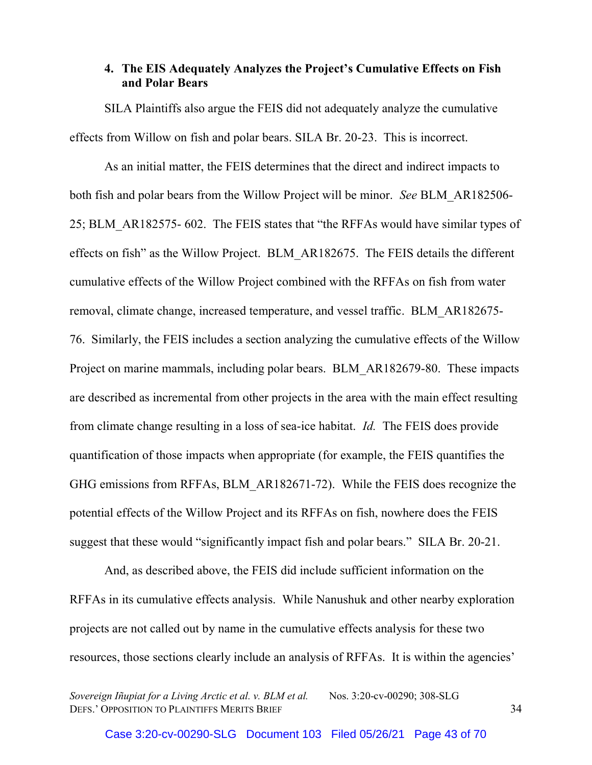### 4. The EIS Adequately Analyzes the Project's Cumulative Effects on Fish and Polar Bears

SILA Plaintiffs also argue the FEIS did not adequately analyze the cumulative effects from Willow on fish and polar bears. SILA Br. 20-23. This is incorrect.

As an initial matter, the FEIS determines that the direct and indirect impacts to both fish and polar bears from the Willow Project will be minor. See BLM AR182506-25; BLM\_AR182575- 602. The FEIS states that "the RFFAs would have similar types of effects on fish" as the Willow Project. BLM\_AR182675. The FEIS details the different cumulative effects of the Willow Project combined with the RFFAs on fish from water removal, climate change, increased temperature, and vessel traffic. BLM\_AR182675- 76. Similarly, the FEIS includes a section analyzing the cumulative effects of the Willow Project on marine mammals, including polar bears. BLM\_AR182679-80. These impacts are described as incremental from other projects in the area with the main effect resulting from climate change resulting in a loss of sea-ice habitat. Id. The FEIS does provide quantification of those impacts when appropriate (for example, the FEIS quantifies the GHG emissions from RFFAs, BLM\_AR182671-72). While the FEIS does recognize the potential effects of the Willow Project and its RFFAs on fish, nowhere does the FEIS suggest that these would "significantly impact fish and polar bears." SILA Br. 20-21.

And, as described above, the FEIS did include sufficient information on the RFFAs in its cumulative effects analysis. While Nanushuk and other nearby exploration projects are not called out by name in the cumulative effects analysis for these two resources, those sections clearly include an analysis of RFFAs. It is within the agencies'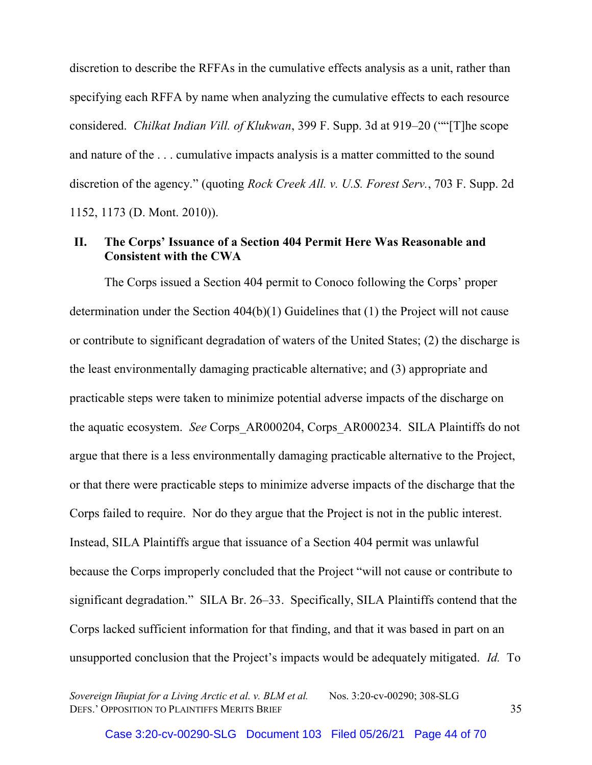discretion to describe the RFFAs in the cumulative effects analysis as a unit, rather than specifying each RFFA by name when analyzing the cumulative effects to each resource considered. Chilkat Indian Vill. of Klukwan, 399 F. Supp. 3d at 919–20 (""[T]he scope and nature of the . . . cumulative impacts analysis is a matter committed to the sound discretion of the agency." (quoting Rock Creek All. v. U.S. Forest Serv., 703 F. Supp. 2d 1152, 1173 (D. Mont. 2010)).

### II. The Corps' Issuance of a Section 404 Permit Here Was Reasonable and Consistent with the CWA

The Corps issued a Section 404 permit to Conoco following the Corps' proper determination under the Section 404(b)(1) Guidelines that (1) the Project will not cause or contribute to significant degradation of waters of the United States; (2) the discharge is the least environmentally damaging practicable alternative; and (3) appropriate and practicable steps were taken to minimize potential adverse impacts of the discharge on the aquatic ecosystem. See Corps\_AR000204, Corps\_AR000234. SILA Plaintiffs do not argue that there is a less environmentally damaging practicable alternative to the Project, or that there were practicable steps to minimize adverse impacts of the discharge that the Corps failed to require. Nor do they argue that the Project is not in the public interest. Instead, SILA Plaintiffs argue that issuance of a Section 404 permit was unlawful because the Corps improperly concluded that the Project "will not cause or contribute to significant degradation." SILA Br. 26–33. Specifically, SILA Plaintiffs contend that the Corps lacked sufficient information for that finding, and that it was based in part on an unsupported conclusion that the Project's impacts would be adequately mitigated. Id. To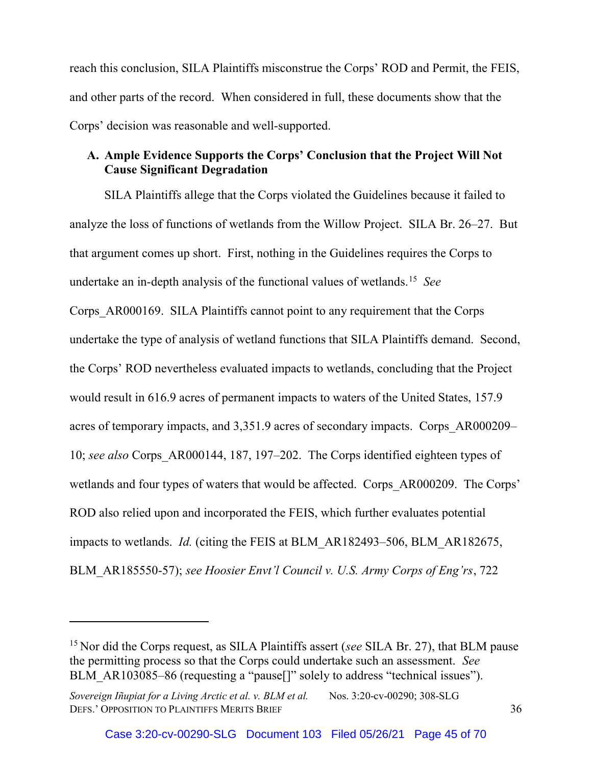reach this conclusion, SILA Plaintiffs misconstrue the Corps' ROD and Permit, the FEIS, and other parts of the record. When considered in full, these documents show that the Corps' decision was reasonable and well-supported.

### A. Ample Evidence Supports the Corps' Conclusion that the Project Will Not Cause Significant Degradation

SILA Plaintiffs allege that the Corps violated the Guidelines because it failed to analyze the loss of functions of wetlands from the Willow Project. SILA Br. 26–27. But that argument comes up short. First, nothing in the Guidelines requires the Corps to undertake an in-depth analysis of the functional values of wetlands.<sup>15</sup> See Corps\_AR000169. SILA Plaintiffs cannot point to any requirement that the Corps undertake the type of analysis of wetland functions that SILA Plaintiffs demand. Second, the Corps' ROD nevertheless evaluated impacts to wetlands, concluding that the Project would result in 616.9 acres of permanent impacts to waters of the United States, 157.9 acres of temporary impacts, and 3,351.9 acres of secondary impacts. Corps\_AR000209– 10; see also Corps AR000144, 187, 197–202. The Corps identified eighteen types of wetlands and four types of waters that would be affected. Corps AR000209. The Corps' ROD also relied upon and incorporated the FEIS, which further evaluates potential impacts to wetlands. Id. (citing the FEIS at BLM\_AR182493–506, BLM\_AR182675, BLM\_AR185550-57); see Hoosier Envt'l Council v. U.S. Army Corps of Eng'rs, 722

<sup>&</sup>lt;sup>15</sup> Nor did the Corps request, as SILA Plaintiffs assert (see SILA Br. 27), that BLM pause the permitting process so that the Corps could undertake such an assessment. See BLM AR103085–86 (requesting a "pause<sup>[]"</sup> solely to address "technical issues").

Sovereign Iñupiat for a Living Arctic et al. v. BLM et al. Nos. 3:20-cv-00290; 308-SLG DEFS.' OPPOSITION TO PLAINTIFFS MERITS BRIEF 36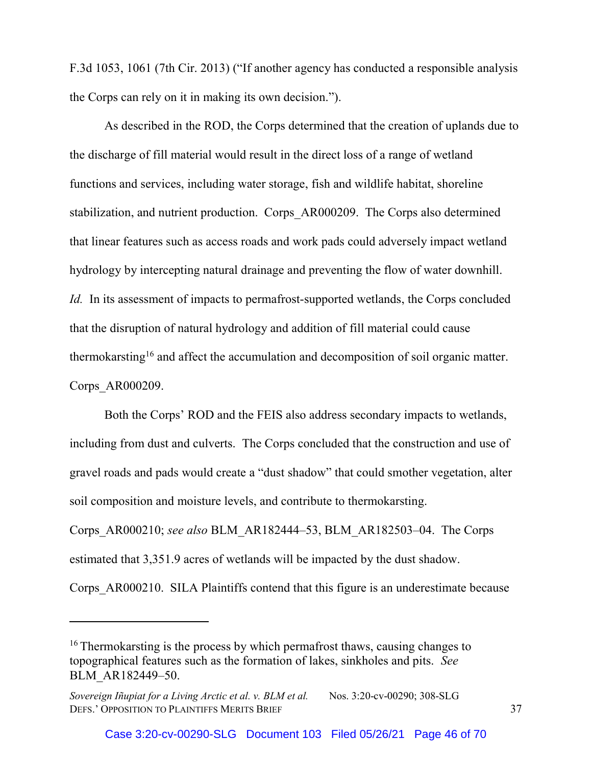F.3d 1053, 1061 (7th Cir. 2013) ("If another agency has conducted a responsible analysis the Corps can rely on it in making its own decision.").

As described in the ROD, the Corps determined that the creation of uplands due to the discharge of fill material would result in the direct loss of a range of wetland functions and services, including water storage, fish and wildlife habitat, shoreline stabilization, and nutrient production. Corps\_AR000209. The Corps also determined that linear features such as access roads and work pads could adversely impact wetland hydrology by intercepting natural drainage and preventing the flow of water downhill. Id. In its assessment of impacts to permafrost-supported wetlands, the Corps concluded that the disruption of natural hydrology and addition of fill material could cause thermokarsting<sup>16</sup> and affect the accumulation and decomposition of soil organic matter. Corps\_AR000209.

Both the Corps' ROD and the FEIS also address secondary impacts to wetlands, including from dust and culverts. The Corps concluded that the construction and use of gravel roads and pads would create a "dust shadow" that could smother vegetation, alter soil composition and moisture levels, and contribute to thermokarsting.

Corps AR000210; see also BLM\_AR182444–53, BLM\_AR182503–04. The Corps estimated that 3,351.9 acres of wetlands will be impacted by the dust shadow.

Corps AR000210. SILA Plaintiffs contend that this figure is an underestimate because

 $16$  Thermokarsting is the process by which permafrost thaws, causing changes to topographical features such as the formation of lakes, sinkholes and pits. See BLM\_AR182449–50.

Sovereign Iñupiat for a Living Arctic et al. v. BLM et al. Nos. 3:20-cv-00290; 308-SLG DEFS.' OPPOSITION TO PLAINTIFFS MERITS BRIEF 37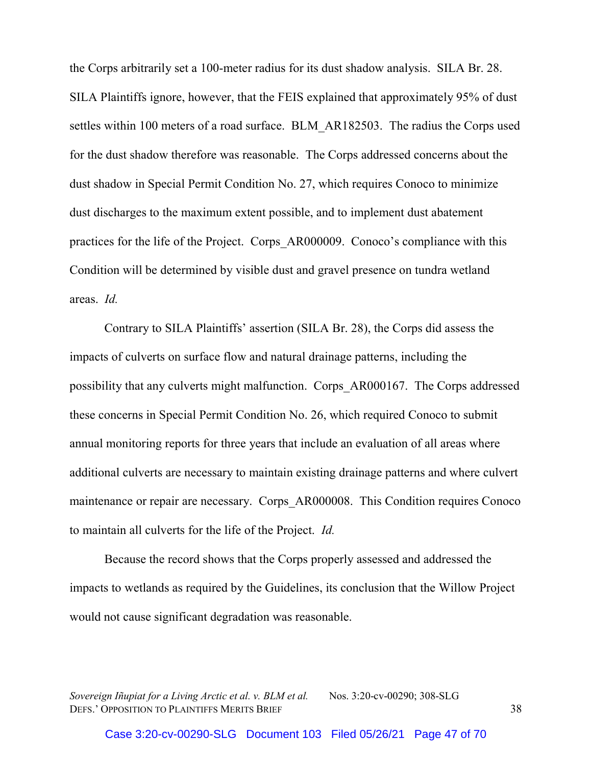the Corps arbitrarily set a 100-meter radius for its dust shadow analysis. SILA Br. 28. SILA Plaintiffs ignore, however, that the FEIS explained that approximately 95% of dust settles within 100 meters of a road surface. BLM\_AR182503. The radius the Corps used for the dust shadow therefore was reasonable. The Corps addressed concerns about the dust shadow in Special Permit Condition No. 27, which requires Conoco to minimize dust discharges to the maximum extent possible, and to implement dust abatement practices for the life of the Project. Corps\_AR000009. Conoco's compliance with this Condition will be determined by visible dust and gravel presence on tundra wetland areas. Id.

Contrary to SILA Plaintiffs' assertion (SILA Br. 28), the Corps did assess the impacts of culverts on surface flow and natural drainage patterns, including the possibility that any culverts might malfunction. Corps\_AR000167. The Corps addressed these concerns in Special Permit Condition No. 26, which required Conoco to submit annual monitoring reports for three years that include an evaluation of all areas where additional culverts are necessary to maintain existing drainage patterns and where culvert maintenance or repair are necessary. Corps AR000008. This Condition requires Conoco to maintain all culverts for the life of the Project. Id.

Because the record shows that the Corps properly assessed and addressed the impacts to wetlands as required by the Guidelines, its conclusion that the Willow Project would not cause significant degradation was reasonable.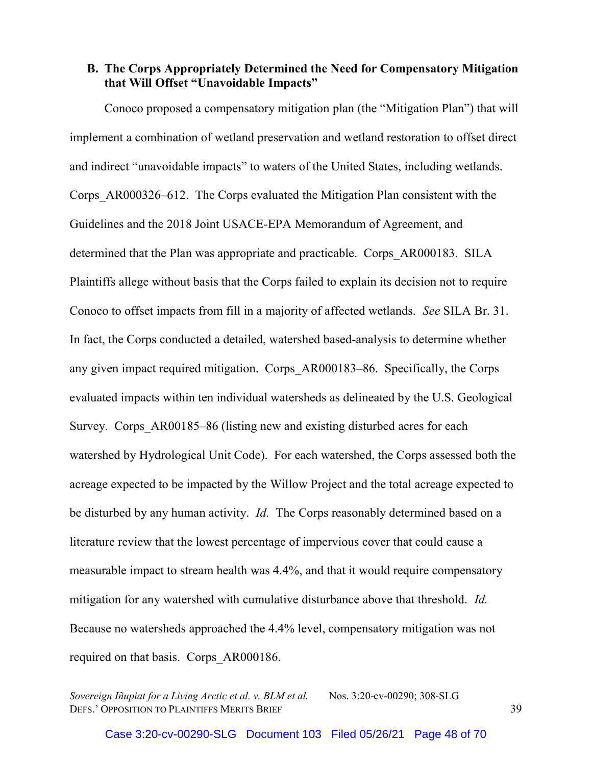### B. The Corps Appropriately Determined the Need for Compensatory Mitigation that Will Offset "Unavoidable Impacts"

Conoco proposed a compensatory mitigation plan (the "Mitigation Plan") that will implement a combination of wetland preservation and wetland restoration to offset direct and indirect "unavoidable impacts" to waters of the United States, including wetlands. Corps\_AR000326–612. The Corps evaluated the Mitigation Plan consistent with the Guidelines and the 2018 Joint USACE-EPA Memorandum of Agreement, and determined that the Plan was appropriate and practicable. Corps AR000183. SILA Plaintiffs allege without basis that the Corps failed to explain its decision not to require Conoco to offset impacts from fill in a majority of affected wetlands. See SILA Br. 31. In fact, the Corps conducted a detailed, watershed based-analysis to determine whether any given impact required mitigation. Corps\_AR000183–86. Specifically, the Corps evaluated impacts within ten individual watersheds as delineated by the U.S. Geological Survey. Corps AR00185–86 (listing new and existing disturbed acres for each watershed by Hydrological Unit Code). For each watershed, the Corps assessed both the acreage expected to be impacted by the Willow Project and the total acreage expected to be disturbed by any human activity. *Id.* The Corps reasonably determined based on a literature review that the lowest percentage of impervious cover that could cause a measurable impact to stream health was 4.4%, and that it would require compensatory mitigation for any watershed with cumulative disturbance above that threshold. Id. Because no watersheds approached the 4.4% level, compensatory mitigation was not required on that basis. Corps\_AR000186.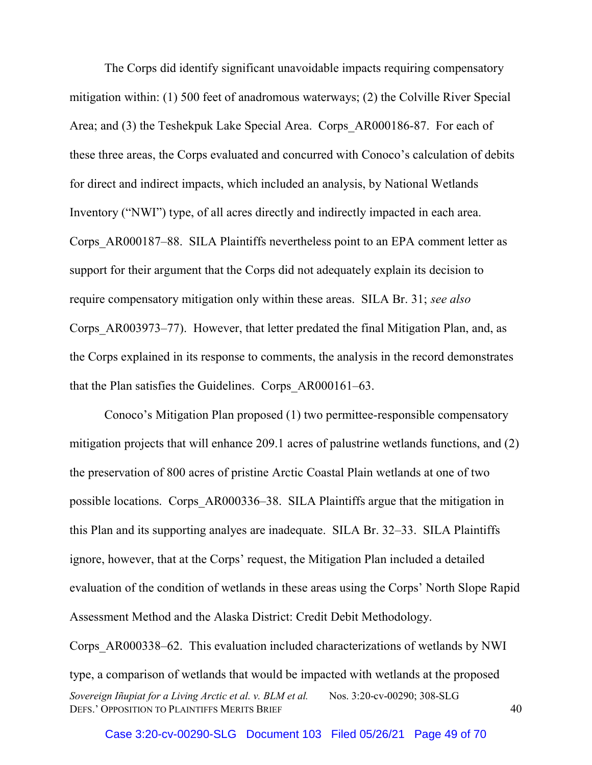The Corps did identify significant unavoidable impacts requiring compensatory mitigation within: (1) 500 feet of anadromous waterways; (2) the Colville River Special Area; and (3) the Teshekpuk Lake Special Area. Corps\_AR000186-87. For each of these three areas, the Corps evaluated and concurred with Conoco's calculation of debits for direct and indirect impacts, which included an analysis, by National Wetlands Inventory ("NWI") type, of all acres directly and indirectly impacted in each area. Corps\_AR000187–88. SILA Plaintiffs nevertheless point to an EPA comment letter as support for their argument that the Corps did not adequately explain its decision to require compensatory mitigation only within these areas. SILA Br. 31; see also Corps\_AR003973–77). However, that letter predated the final Mitigation Plan, and, as the Corps explained in its response to comments, the analysis in the record demonstrates that the Plan satisfies the Guidelines. Corps\_AR000161–63.

Conoco's Mitigation Plan proposed (1) two permittee-responsible compensatory mitigation projects that will enhance 209.1 acres of palustrine wetlands functions, and (2) the preservation of 800 acres of pristine Arctic Coastal Plain wetlands at one of two possible locations. Corps\_AR000336–38. SILA Plaintiffs argue that the mitigation in this Plan and its supporting analyes are inadequate. SILA Br. 32–33. SILA Plaintiffs ignore, however, that at the Corps' request, the Mitigation Plan included a detailed evaluation of the condition of wetlands in these areas using the Corps' North Slope Rapid Assessment Method and the Alaska District: Credit Debit Methodology.

Sovereign Iñupiat for a Living Arctic et al. v. BLM et al. Nos. 3:20-cv-00290; 308-SLG DEFS.' OPPOSITION TO PLAINTIFFS MERITS BRIEF 40 Corps\_AR000338–62. This evaluation included characterizations of wetlands by NWI type, a comparison of wetlands that would be impacted with wetlands at the proposed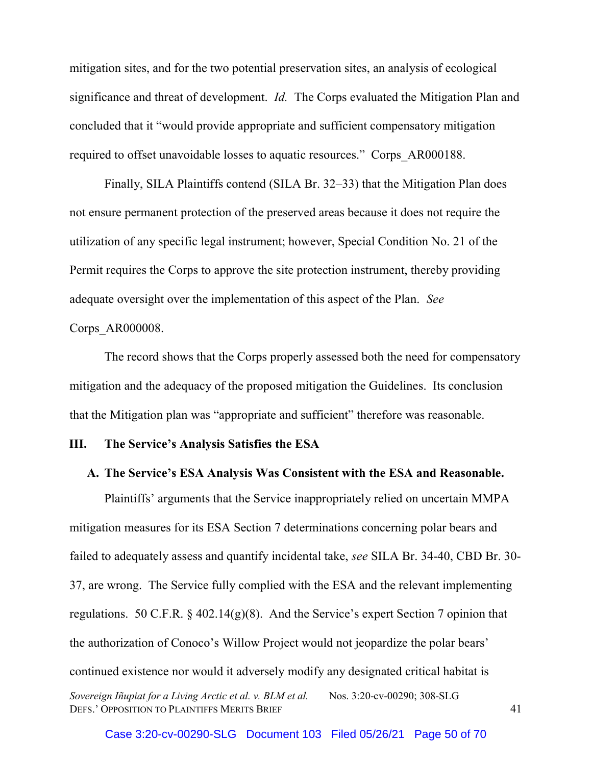mitigation sites, and for the two potential preservation sites, an analysis of ecological significance and threat of development. *Id.* The Corps evaluated the Mitigation Plan and concluded that it "would provide appropriate and sufficient compensatory mitigation required to offset unavoidable losses to aquatic resources." Corps\_AR000188.

Finally, SILA Plaintiffs contend (SILA Br. 32–33) that the Mitigation Plan does not ensure permanent protection of the preserved areas because it does not require the utilization of any specific legal instrument; however, Special Condition No. 21 of the Permit requires the Corps to approve the site protection instrument, thereby providing adequate oversight over the implementation of this aspect of the Plan. See Corps\_AR000008.

The record shows that the Corps properly assessed both the need for compensatory mitigation and the adequacy of the proposed mitigation the Guidelines. Its conclusion that the Mitigation plan was "appropriate and sufficient" therefore was reasonable.

### III. The Service's Analysis Satisfies the ESA

#### A. The Service's ESA Analysis Was Consistent with the ESA and Reasonable.

Sovereign Iñupiat for a Living Arctic et al. v. BLM et al. Nos. 3:20-cv-00290; 308-SLG DEFS.' OPPOSITION TO PLAINTIFFS MERITS BRIEF 41 Plaintiffs' arguments that the Service inappropriately relied on uncertain MMPA mitigation measures for its ESA Section 7 determinations concerning polar bears and failed to adequately assess and quantify incidental take, see SILA Br. 34-40, CBD Br. 30- 37, are wrong. The Service fully complied with the ESA and the relevant implementing regulations. 50 C.F.R.  $\S$  402.14(g)(8). And the Service's expert Section 7 opinion that the authorization of Conoco's Willow Project would not jeopardize the polar bears' continued existence nor would it adversely modify any designated critical habitat is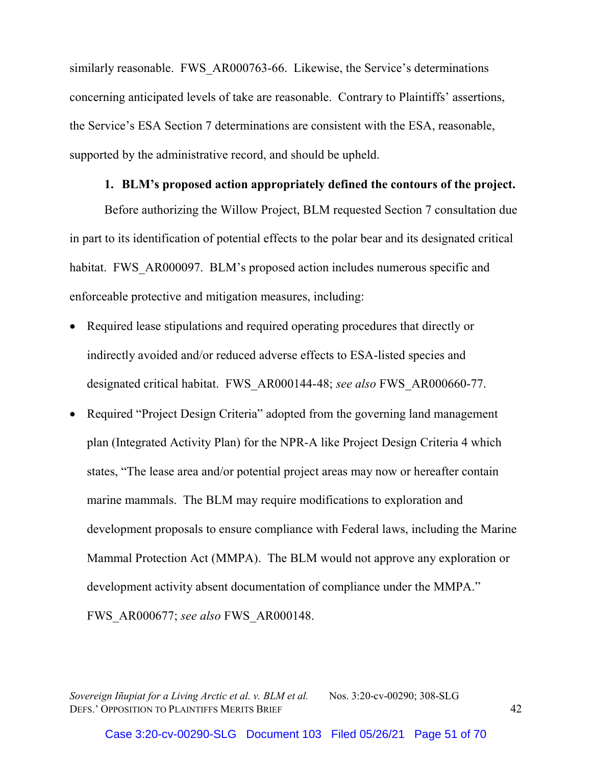similarly reasonable. FWS AR000763-66. Likewise, the Service's determinations concerning anticipated levels of take are reasonable. Contrary to Plaintiffs' assertions, the Service's ESA Section 7 determinations are consistent with the ESA, reasonable, supported by the administrative record, and should be upheld.

#### 1. BLM's proposed action appropriately defined the contours of the project.

Before authorizing the Willow Project, BLM requested Section 7 consultation due in part to its identification of potential effects to the polar bear and its designated critical habitat. FWS AR000097. BLM's proposed action includes numerous specific and enforceable protective and mitigation measures, including:

- Required lease stipulations and required operating procedures that directly or indirectly avoided and/or reduced adverse effects to ESA-listed species and designated critical habitat. FWS\_AR000144-48; see also FWS\_AR000660-77.
- Required "Project Design Criteria" adopted from the governing land management plan (Integrated Activity Plan) for the NPR-A like Project Design Criteria 4 which states, "The lease area and/or potential project areas may now or hereafter contain marine mammals. The BLM may require modifications to exploration and development proposals to ensure compliance with Federal laws, including the Marine Mammal Protection Act (MMPA). The BLM would not approve any exploration or development activity absent documentation of compliance under the MMPA." FWS AR000677; see also FWS AR000148.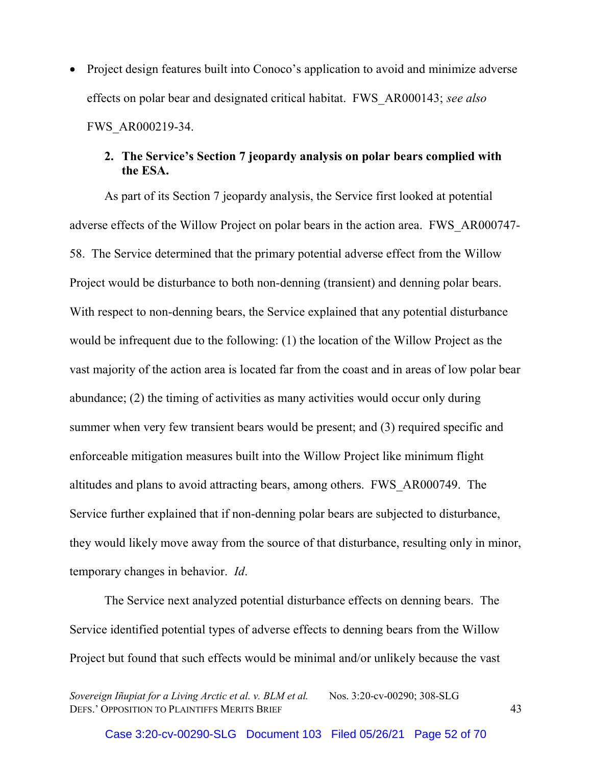• Project design features built into Conoco's application to avoid and minimize adverse effects on polar bear and designated critical habitat. FWS AR000143; see also FWS\_AR000219-34.

### 2. The Service's Section 7 jeopardy analysis on polar bears complied with the ESA.

As part of its Section 7 jeopardy analysis, the Service first looked at potential adverse effects of the Willow Project on polar bears in the action area. FWS\_AR000747- 58. The Service determined that the primary potential adverse effect from the Willow Project would be disturbance to both non-denning (transient) and denning polar bears. With respect to non-denning bears, the Service explained that any potential disturbance would be infrequent due to the following: (1) the location of the Willow Project as the vast majority of the action area is located far from the coast and in areas of low polar bear abundance; (2) the timing of activities as many activities would occur only during summer when very few transient bears would be present; and (3) required specific and enforceable mitigation measures built into the Willow Project like minimum flight altitudes and plans to avoid attracting bears, among others. FWS\_AR000749. The Service further explained that if non-denning polar bears are subjected to disturbance, they would likely move away from the source of that disturbance, resulting only in minor, temporary changes in behavior. Id.

The Service next analyzed potential disturbance effects on denning bears. The Service identified potential types of adverse effects to denning bears from the Willow Project but found that such effects would be minimal and/or unlikely because the vast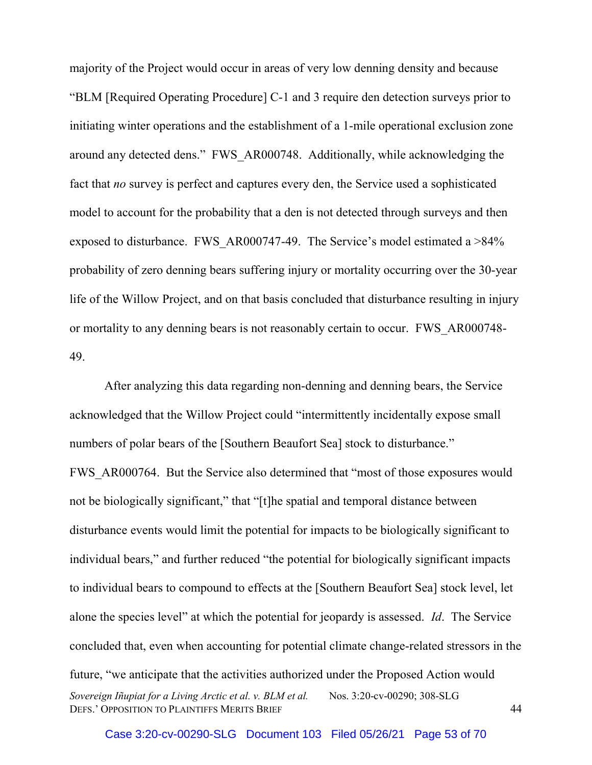majority of the Project would occur in areas of very low denning density and because "BLM [Required Operating Procedure] C-1 and 3 require den detection surveys prior to initiating winter operations and the establishment of a 1-mile operational exclusion zone around any detected dens." FWS\_AR000748. Additionally, while acknowledging the fact that no survey is perfect and captures every den, the Service used a sophisticated model to account for the probability that a den is not detected through surveys and then exposed to disturbance. FWS AR000747-49. The Service's model estimated a  $>84\%$ probability of zero denning bears suffering injury or mortality occurring over the 30-year life of the Willow Project, and on that basis concluded that disturbance resulting in injury or mortality to any denning bears is not reasonably certain to occur. FWS\_AR000748- 49.

Sovereign Iñupiat for a Living Arctic et al. v. BLM et al. Nos. 3:20-cv-00290; 308-SLG DEFS.' OPPOSITION TO PLAINTIFFS MERITS BRIEF 44 After analyzing this data regarding non-denning and denning bears, the Service acknowledged that the Willow Project could "intermittently incidentally expose small numbers of polar bears of the [Southern Beaufort Sea] stock to disturbance." FWS\_AR000764. But the Service also determined that "most of those exposures would not be biologically significant," that "[t]he spatial and temporal distance between disturbance events would limit the potential for impacts to be biologically significant to individual bears," and further reduced "the potential for biologically significant impacts to individual bears to compound to effects at the [Southern Beaufort Sea] stock level, let alone the species level" at which the potential for jeopardy is assessed. Id. The Service concluded that, even when accounting for potential climate change-related stressors in the future, "we anticipate that the activities authorized under the Proposed Action would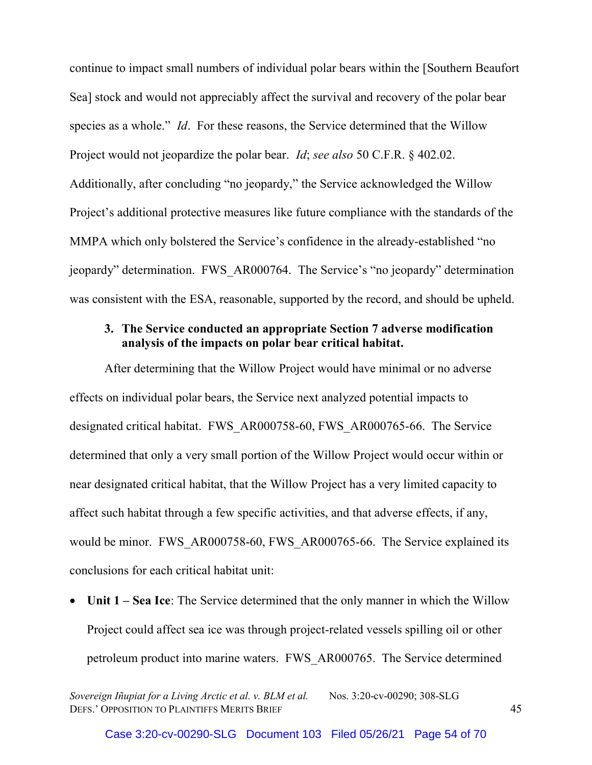continue to impact small numbers of individual polar bears within the [Southern Beaufort Sea] stock and would not appreciably affect the survival and recovery of the polar bear species as a whole." *Id.* For these reasons, the Service determined that the Willow Project would not jeopardize the polar bear. *Id; see also* 50 C.F.R. § 402.02. Additionally, after concluding "no jeopardy," the Service acknowledged the Willow Project's additional protective measures like future compliance with the standards of the MMPA which only bolstered the Service's confidence in the already-established "no jeopardy" determination. FWS\_AR000764. The Service's "no jeopardy" determination was consistent with the ESA, reasonable, supported by the record, and should be upheld.

### 3. The Service conducted an appropriate Section 7 adverse modification analysis of the impacts on polar bear critical habitat.

After determining that the Willow Project would have minimal or no adverse effects on individual polar bears, the Service next analyzed potential impacts to designated critical habitat. FWS\_AR000758-60, FWS\_AR000765-66. The Service determined that only a very small portion of the Willow Project would occur within or near designated critical habitat, that the Willow Project has a very limited capacity to affect such habitat through a few specific activities, and that adverse effects, if any, would be minor. FWS\_AR000758-60, FWS\_AR000765-66. The Service explained its conclusions for each critical habitat unit:

• Unit 1 – Sea Ice: The Service determined that the only manner in which the Willow Project could affect sea ice was through project-related vessels spilling oil or other petroleum product into marine waters. FWS\_AR000765. The Service determined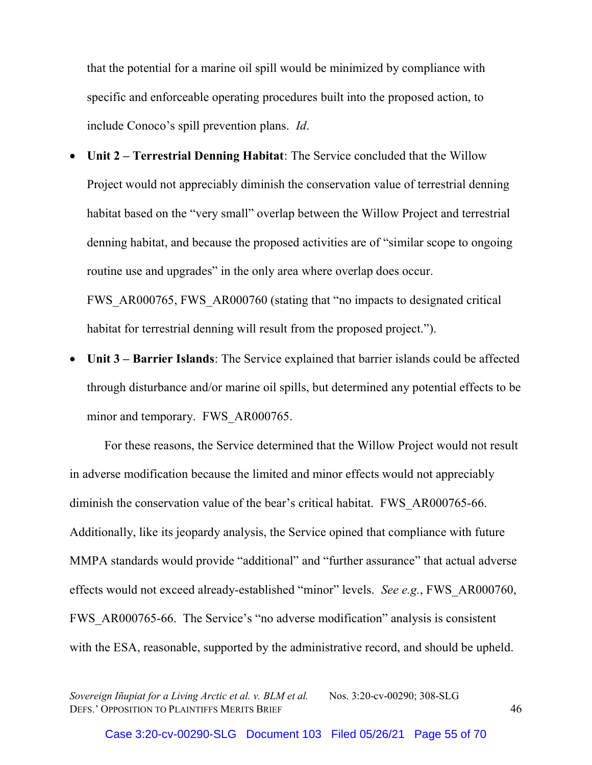that the potential for a marine oil spill would be minimized by compliance with specific and enforceable operating procedures built into the proposed action, to include Conoco's spill prevention plans. Id.

 Unit 2 – Terrestrial Denning Habitat: The Service concluded that the Willow Project would not appreciably diminish the conservation value of terrestrial denning habitat based on the "very small" overlap between the Willow Project and terrestrial denning habitat, and because the proposed activities are of "similar scope to ongoing routine use and upgrades" in the only area where overlap does occur.

FWS AR000765, FWS AR000760 (stating that "no impacts to designated critical habitat for terrestrial denning will result from the proposed project.").

• Unit 3 – Barrier Islands: The Service explained that barrier islands could be affected through disturbance and/or marine oil spills, but determined any potential effects to be minor and temporary. FWS\_AR000765.

For these reasons, the Service determined that the Willow Project would not result in adverse modification because the limited and minor effects would not appreciably diminish the conservation value of the bear's critical habitat. FWS\_AR000765-66. Additionally, like its jeopardy analysis, the Service opined that compliance with future MMPA standards would provide "additional" and "further assurance" that actual adverse effects would not exceed already-established "minor" levels. See e.g., FWS AR000760, FWS\_AR000765-66. The Service's "no adverse modification" analysis is consistent with the ESA, reasonable, supported by the administrative record, and should be upheld.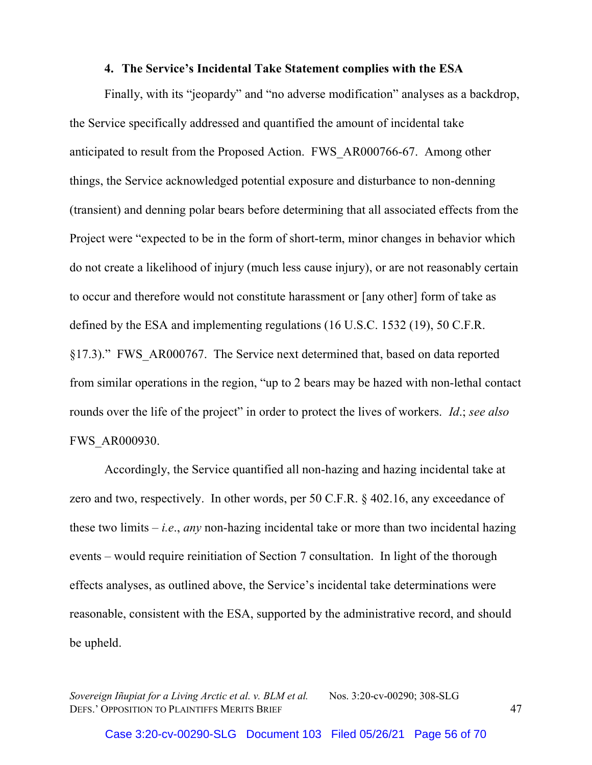#### 4. The Service's Incidental Take Statement complies with the ESA

Finally, with its "jeopardy" and "no adverse modification" analyses as a backdrop, the Service specifically addressed and quantified the amount of incidental take anticipated to result from the Proposed Action. FWS\_AR000766-67. Among other things, the Service acknowledged potential exposure and disturbance to non-denning (transient) and denning polar bears before determining that all associated effects from the Project were "expected to be in the form of short-term, minor changes in behavior which do not create a likelihood of injury (much less cause injury), or are not reasonably certain to occur and therefore would not constitute harassment or [any other] form of take as defined by the ESA and implementing regulations (16 U.S.C. 1532 (19), 50 C.F.R. §17.3)." FWS\_AR000767. The Service next determined that, based on data reported from similar operations in the region, "up to 2 bears may be hazed with non-lethal contact rounds over the life of the project" in order to protect the lives of workers. *Id.*; see also FWS\_AR000930.

Accordingly, the Service quantified all non-hazing and hazing incidental take at zero and two, respectively. In other words, per 50 C.F.R. § 402.16, any exceedance of these two limits – *i.e.*, *any* non-hazing incidental take or more than two incidental hazing events – would require reinitiation of Section 7 consultation. In light of the thorough effects analyses, as outlined above, the Service's incidental take determinations were reasonable, consistent with the ESA, supported by the administrative record, and should be upheld.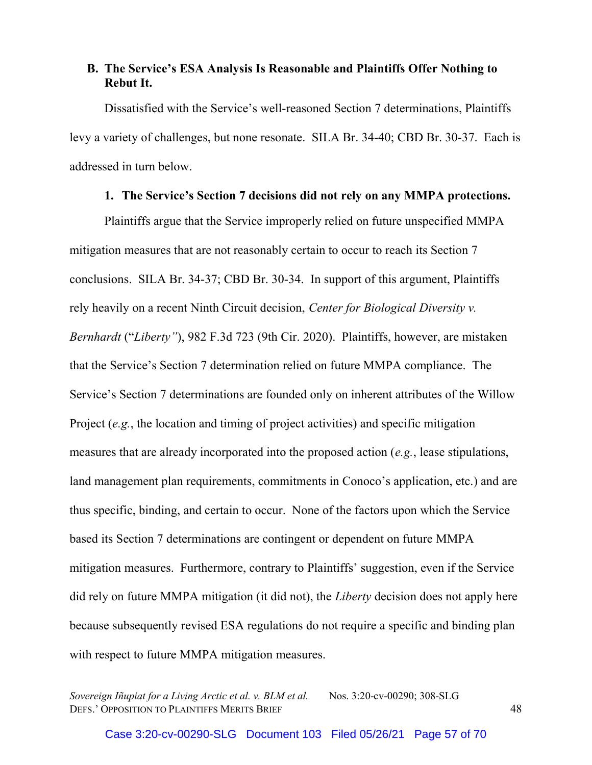### B. The Service's ESA Analysis Is Reasonable and Plaintiffs Offer Nothing to Rebut It.

Dissatisfied with the Service's well-reasoned Section 7 determinations, Plaintiffs levy a variety of challenges, but none resonate. SILA Br. 34-40; CBD Br. 30-37. Each is addressed in turn below.

### 1. The Service's Section 7 decisions did not rely on any MMPA protections.

Plaintiffs argue that the Service improperly relied on future unspecified MMPA mitigation measures that are not reasonably certain to occur to reach its Section 7 conclusions. SILA Br. 34-37; CBD Br. 30-34. In support of this argument, Plaintiffs rely heavily on a recent Ninth Circuit decision, Center for Biological Diversity v. Bernhardt ("Liberty"), 982 F.3d 723 (9th Cir. 2020). Plaintiffs, however, are mistaken that the Service's Section 7 determination relied on future MMPA compliance. The Service's Section 7 determinations are founded only on inherent attributes of the Willow Project (e.g., the location and timing of project activities) and specific mitigation measures that are already incorporated into the proposed action (e.g., lease stipulations, land management plan requirements, commitments in Conoco's application, etc.) and are thus specific, binding, and certain to occur. None of the factors upon which the Service based its Section 7 determinations are contingent or dependent on future MMPA mitigation measures. Furthermore, contrary to Plaintiffs' suggestion, even if the Service did rely on future MMPA mitigation (it did not), the *Liberty* decision does not apply here because subsequently revised ESA regulations do not require a specific and binding plan with respect to future MMPA mitigation measures.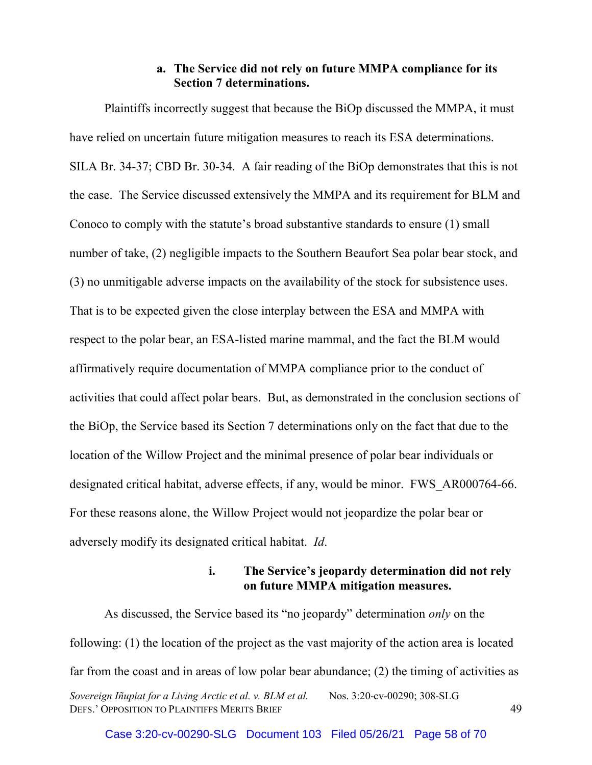### a. The Service did not rely on future MMPA compliance for its Section 7 determinations.

Plaintiffs incorrectly suggest that because the BiOp discussed the MMPA, it must have relied on uncertain future mitigation measures to reach its ESA determinations. SILA Br. 34-37; CBD Br. 30-34. A fair reading of the BiOp demonstrates that this is not the case. The Service discussed extensively the MMPA and its requirement for BLM and Conoco to comply with the statute's broad substantive standards to ensure (1) small number of take, (2) negligible impacts to the Southern Beaufort Sea polar bear stock, and (3) no unmitigable adverse impacts on the availability of the stock for subsistence uses. That is to be expected given the close interplay between the ESA and MMPA with respect to the polar bear, an ESA-listed marine mammal, and the fact the BLM would affirmatively require documentation of MMPA compliance prior to the conduct of activities that could affect polar bears. But, as demonstrated in the conclusion sections of the BiOp, the Service based its Section 7 determinations only on the fact that due to the location of the Willow Project and the minimal presence of polar bear individuals or designated critical habitat, adverse effects, if any, would be minor. FWS\_AR000764-66. For these reasons alone, the Willow Project would not jeopardize the polar bear or adversely modify its designated critical habitat. Id.

### i. The Service's jeopardy determination did not rely on future MMPA mitigation measures.

Sovereign Iñupiat for a Living Arctic et al. v. BLM et al. Nos. 3:20-cv-00290; 308-SLG DEFS.' OPPOSITION TO PLAINTIFFS MERITS BRIEF 49 As discussed, the Service based its "no jeopardy" determination only on the following: (1) the location of the project as the vast majority of the action area is located far from the coast and in areas of low polar bear abundance; (2) the timing of activities as

Case 3:20-cv-00290-SLG Document 103 Filed 05/26/21 Page 58 of 70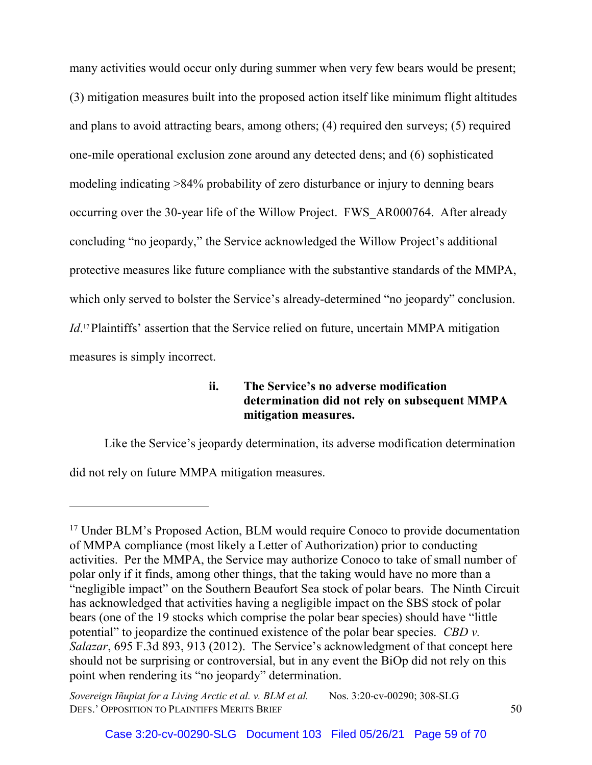many activities would occur only during summer when very few bears would be present; (3) mitigation measures built into the proposed action itself like minimum flight altitudes and plans to avoid attracting bears, among others; (4) required den surveys; (5) required one-mile operational exclusion zone around any detected dens; and (6) sophisticated modeling indicating >84% probability of zero disturbance or injury to denning bears occurring over the 30-year life of the Willow Project. FWS\_AR000764. After already concluding "no jeopardy," the Service acknowledged the Willow Project's additional protective measures like future compliance with the substantive standards of the MMPA, which only served to bolster the Service's already-determined "no jeopardy" conclusion. Id.<sup>17</sup> Plaintiffs' assertion that the Service relied on future, uncertain MMPA mitigation measures is simply incorrect.

## ii. The Service's no adverse modification determination did not rely on subsequent MMPA mitigation measures.

Like the Service's jeopardy determination, its adverse modification determination

did not rely on future MMPA mitigation measures.

 $\overline{a}$ 

<sup>&</sup>lt;sup>17</sup> Under BLM's Proposed Action, BLM would require Conoco to provide documentation of MMPA compliance (most likely a Letter of Authorization) prior to conducting activities. Per the MMPA, the Service may authorize Conoco to take of small number of polar only if it finds, among other things, that the taking would have no more than a "negligible impact" on the Southern Beaufort Sea stock of polar bears. The Ninth Circuit has acknowledged that activities having a negligible impact on the SBS stock of polar bears (one of the 19 stocks which comprise the polar bear species) should have "little potential" to jeopardize the continued existence of the polar bear species. CBD  $v$ . Salazar, 695 F.3d 893, 913 (2012). The Service's acknowledgment of that concept here should not be surprising or controversial, but in any event the BiOp did not rely on this point when rendering its "no jeopardy" determination.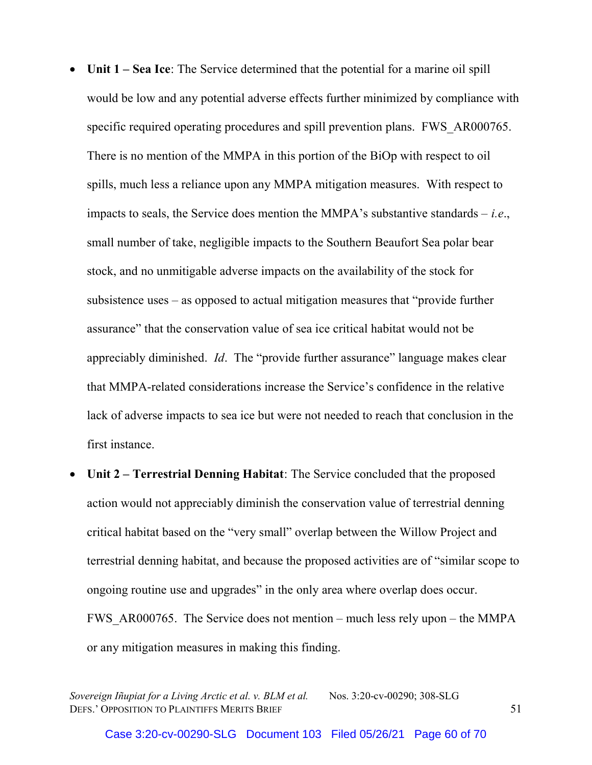- Unit 1 Sea Ice: The Service determined that the potential for a marine oil spill would be low and any potential adverse effects further minimized by compliance with specific required operating procedures and spill prevention plans. FWS AR000765. There is no mention of the MMPA in this portion of the BiOp with respect to oil spills, much less a reliance upon any MMPA mitigation measures. With respect to impacts to seals, the Service does mention the MMPA's substantive standards  $-i.e.,$ small number of take, negligible impacts to the Southern Beaufort Sea polar bear stock, and no unmitigable adverse impacts on the availability of the stock for subsistence uses – as opposed to actual mitigation measures that "provide further assurance" that the conservation value of sea ice critical habitat would not be appreciably diminished. *Id*. The "provide further assurance" language makes clear that MMPA-related considerations increase the Service's confidence in the relative lack of adverse impacts to sea ice but were not needed to reach that conclusion in the first instance.
- Unit 2 Terrestrial Denning Habitat: The Service concluded that the proposed action would not appreciably diminish the conservation value of terrestrial denning critical habitat based on the "very small" overlap between the Willow Project and terrestrial denning habitat, and because the proposed activities are of "similar scope to ongoing routine use and upgrades" in the only area where overlap does occur. FWS AR000765. The Service does not mention – much less rely upon – the MMPA or any mitigation measures in making this finding.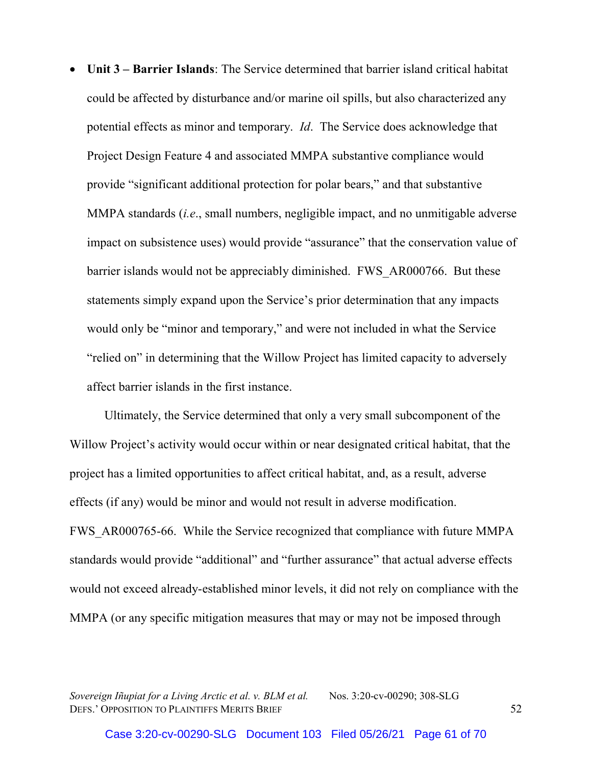Unit 3 – Barrier Islands: The Service determined that barrier island critical habitat could be affected by disturbance and/or marine oil spills, but also characterized any potential effects as minor and temporary. Id. The Service does acknowledge that Project Design Feature 4 and associated MMPA substantive compliance would provide "significant additional protection for polar bears," and that substantive MMPA standards *(i.e.*, small numbers, negligible impact, and no unmitigable adverse impact on subsistence uses) would provide "assurance" that the conservation value of barrier islands would not be appreciably diminished. FWS\_AR000766. But these statements simply expand upon the Service's prior determination that any impacts would only be "minor and temporary," and were not included in what the Service "relied on" in determining that the Willow Project has limited capacity to adversely affect barrier islands in the first instance.

Ultimately, the Service determined that only a very small subcomponent of the Willow Project's activity would occur within or near designated critical habitat, that the project has a limited opportunities to affect critical habitat, and, as a result, adverse effects (if any) would be minor and would not result in adverse modification. FWS\_AR000765-66. While the Service recognized that compliance with future MMPA standards would provide "additional" and "further assurance" that actual adverse effects would not exceed already-established minor levels, it did not rely on compliance with the MMPA (or any specific mitigation measures that may or may not be imposed through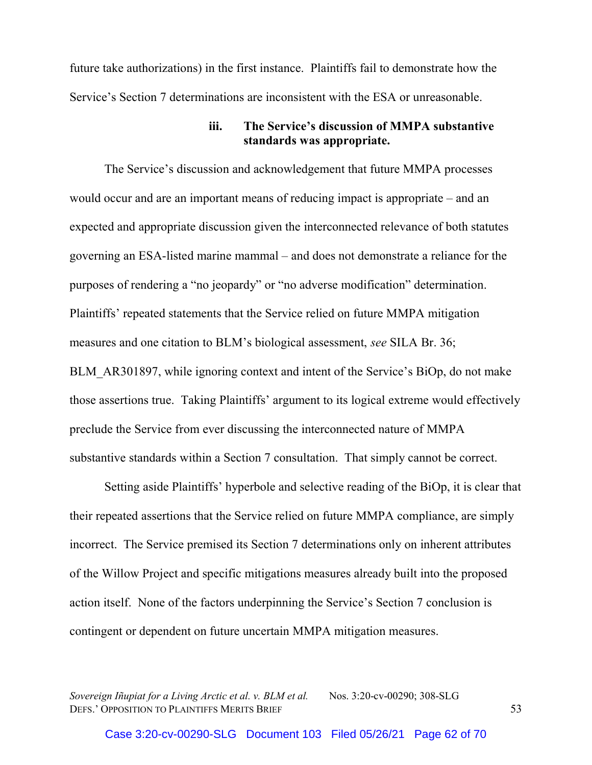future take authorizations) in the first instance. Plaintiffs fail to demonstrate how the Service's Section 7 determinations are inconsistent with the ESA or unreasonable.

### iii. The Service's discussion of MMPA substantive standards was appropriate.

The Service's discussion and acknowledgement that future MMPA processes would occur and are an important means of reducing impact is appropriate – and an expected and appropriate discussion given the interconnected relevance of both statutes governing an ESA-listed marine mammal – and does not demonstrate a reliance for the purposes of rendering a "no jeopardy" or "no adverse modification" determination. Plaintiffs' repeated statements that the Service relied on future MMPA mitigation measures and one citation to BLM's biological assessment, see SILA Br. 36; BLM AR301897, while ignoring context and intent of the Service's BiOp, do not make those assertions true. Taking Plaintiffs' argument to its logical extreme would effectively preclude the Service from ever discussing the interconnected nature of MMPA substantive standards within a Section 7 consultation. That simply cannot be correct.

Setting aside Plaintiffs' hyperbole and selective reading of the BiOp, it is clear that their repeated assertions that the Service relied on future MMPA compliance, are simply incorrect. The Service premised its Section 7 determinations only on inherent attributes of the Willow Project and specific mitigations measures already built into the proposed action itself. None of the factors underpinning the Service's Section 7 conclusion is contingent or dependent on future uncertain MMPA mitigation measures.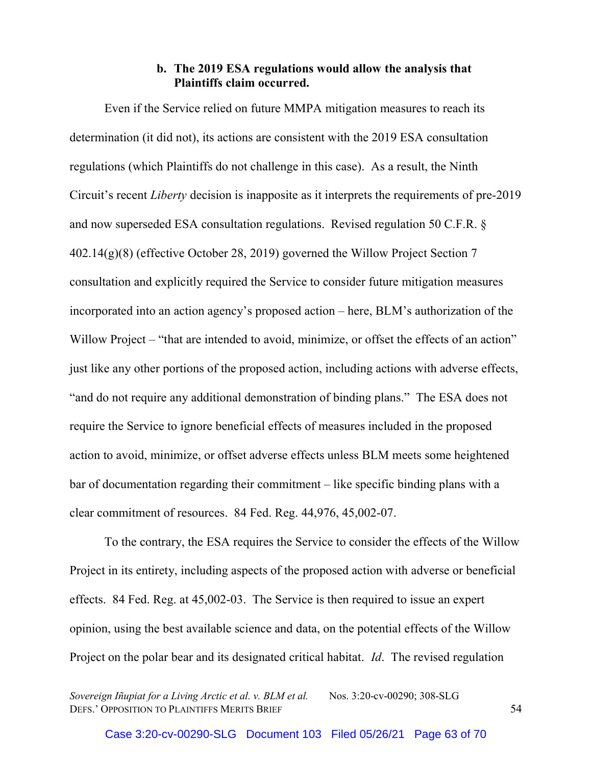### b. The 2019 ESA regulations would allow the analysis that Plaintiffs claim occurred.

Even if the Service relied on future MMPA mitigation measures to reach its determination (it did not), its actions are consistent with the 2019 ESA consultation regulations (which Plaintiffs do not challenge in this case). As a result, the Ninth Circuit's recent Liberty decision is inapposite as it interprets the requirements of pre-2019 and now superseded ESA consultation regulations. Revised regulation 50 C.F.R. § 402.14(g)(8) (effective October 28, 2019) governed the Willow Project Section 7 consultation and explicitly required the Service to consider future mitigation measures incorporated into an action agency's proposed action – here, BLM's authorization of the Willow Project – "that are intended to avoid, minimize, or offset the effects of an action" just like any other portions of the proposed action, including actions with adverse effects, "and do not require any additional demonstration of binding plans." The ESA does not require the Service to ignore beneficial effects of measures included in the proposed action to avoid, minimize, or offset adverse effects unless BLM meets some heightened bar of documentation regarding their commitment – like specific binding plans with a clear commitment of resources. 84 Fed. Reg. 44,976, 45,002-07.

To the contrary, the ESA requires the Service to consider the effects of the Willow Project in its entirety, including aspects of the proposed action with adverse or beneficial effects. 84 Fed. Reg. at 45,002-03. The Service is then required to issue an expert opinion, using the best available science and data, on the potential effects of the Willow Project on the polar bear and its designated critical habitat. *Id*. The revised regulation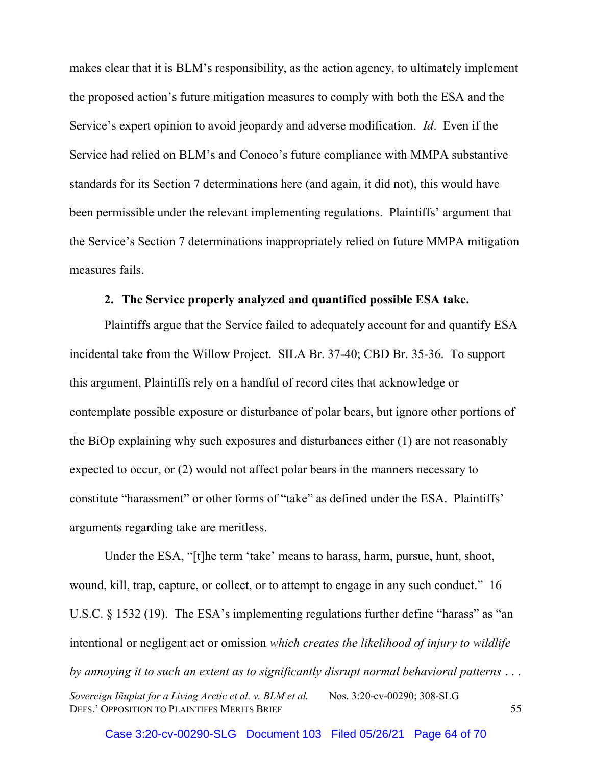makes clear that it is BLM's responsibility, as the action agency, to ultimately implement the proposed action's future mitigation measures to comply with both the ESA and the Service's expert opinion to avoid jeopardy and adverse modification. *Id.* Even if the Service had relied on BLM's and Conoco's future compliance with MMPA substantive standards for its Section 7 determinations here (and again, it did not), this would have been permissible under the relevant implementing regulations. Plaintiffs' argument that the Service's Section 7 determinations inappropriately relied on future MMPA mitigation measures fails.

#### 2. The Service properly analyzed and quantified possible ESA take.

Plaintiffs argue that the Service failed to adequately account for and quantify ESA incidental take from the Willow Project. SILA Br. 37-40; CBD Br. 35-36. To support this argument, Plaintiffs rely on a handful of record cites that acknowledge or contemplate possible exposure or disturbance of polar bears, but ignore other portions of the BiOp explaining why such exposures and disturbances either (1) are not reasonably expected to occur, or (2) would not affect polar bears in the manners necessary to constitute "harassment" or other forms of "take" as defined under the ESA. Plaintiffs' arguments regarding take are meritless.

Sovereign Iñupiat for a Living Arctic et al. v. BLM et al. Nos. 3:20-cv-00290; 308-SLG DEFS.' OPPOSITION TO PLAINTIFFS MERITS BRIEF 55 SET SERVED FOR SALE 55 Under the ESA, "[t]he term 'take' means to harass, harm, pursue, hunt, shoot, wound, kill, trap, capture, or collect, or to attempt to engage in any such conduct." 16 U.S.C. § 1532 (19). The ESA's implementing regulations further define "harass" as "an intentional or negligent act or omission which creates the likelihood of injury to wildlife by annoying it to such an extent as to significantly disrupt normal behavioral patterns . . .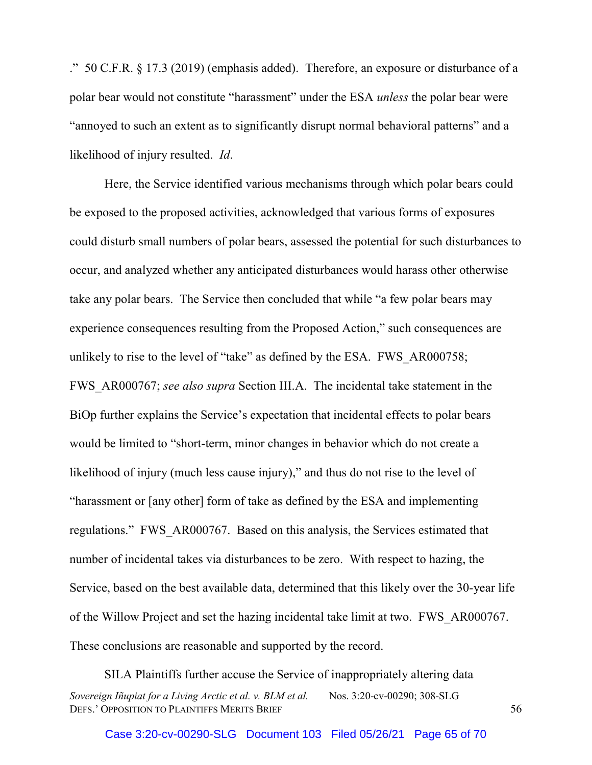." 50 C.F.R. § 17.3 (2019) (emphasis added). Therefore, an exposure or disturbance of a polar bear would not constitute "harassment" under the ESA unless the polar bear were "annoyed to such an extent as to significantly disrupt normal behavioral patterns" and a likelihood of injury resulted. Id.

Here, the Service identified various mechanisms through which polar bears could be exposed to the proposed activities, acknowledged that various forms of exposures could disturb small numbers of polar bears, assessed the potential for such disturbances to occur, and analyzed whether any anticipated disturbances would harass other otherwise take any polar bears. The Service then concluded that while "a few polar bears may experience consequences resulting from the Proposed Action," such consequences are unlikely to rise to the level of "take" as defined by the ESA. FWS AR000758; FWS AR000767; see also supra Section III.A. The incidental take statement in the BiOp further explains the Service's expectation that incidental effects to polar bears would be limited to "short-term, minor changes in behavior which do not create a likelihood of injury (much less cause injury)," and thus do not rise to the level of "harassment or [any other] form of take as defined by the ESA and implementing regulations." FWS\_AR000767. Based on this analysis, the Services estimated that number of incidental takes via disturbances to be zero. With respect to hazing, the Service, based on the best available data, determined that this likely over the 30-year life of the Willow Project and set the hazing incidental take limit at two. FWS\_AR000767. These conclusions are reasonable and supported by the record.

Sovereign Iñupiat for a Living Arctic et al. v. BLM et al. Nos. 3:20-cv-00290; 308-SLG DEFS.' OPPOSITION TO PLAINTIFFS MERITS BRIEF 56 SECOND 1999 STOLEN 56 SILA Plaintiffs further accuse the Service of inappropriately altering data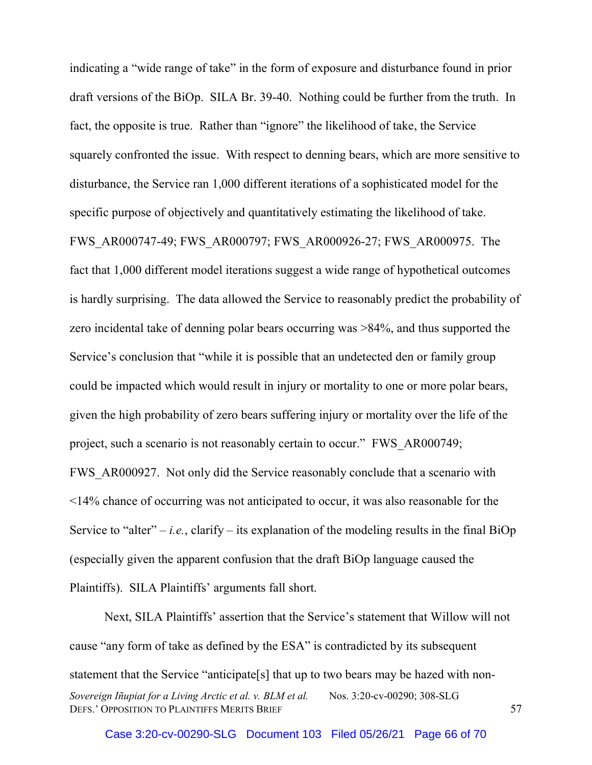indicating a "wide range of take" in the form of exposure and disturbance found in prior draft versions of the BiOp. SILA Br. 39-40. Nothing could be further from the truth. In fact, the opposite is true. Rather than "ignore" the likelihood of take, the Service squarely confronted the issue. With respect to denning bears, which are more sensitive to disturbance, the Service ran 1,000 different iterations of a sophisticated model for the specific purpose of objectively and quantitatively estimating the likelihood of take. FWS\_AR000747-49; FWS\_AR000797; FWS\_AR000926-27; FWS\_AR000975. The fact that 1,000 different model iterations suggest a wide range of hypothetical outcomes is hardly surprising. The data allowed the Service to reasonably predict the probability of zero incidental take of denning polar bears occurring was >84%, and thus supported the Service's conclusion that "while it is possible that an undetected den or family group could be impacted which would result in injury or mortality to one or more polar bears, given the high probability of zero bears suffering injury or mortality over the life of the project, such a scenario is not reasonably certain to occur." FWS\_AR000749; FWS\_AR000927. Not only did the Service reasonably conclude that a scenario with <14% chance of occurring was not anticipated to occur, it was also reasonable for the Service to "alter" – *i.e.*, clarify – its explanation of the modeling results in the final BiOp (especially given the apparent confusion that the draft BiOp language caused the Plaintiffs). SILA Plaintiffs' arguments fall short.

Sovereign Iñupiat for a Living Arctic et al. v. BLM et al. Nos. 3:20-cv-00290; 308-SLG DEFS.' OPPOSITION TO PLAINTIFFS MERITS BRIEF 57 Next, SILA Plaintiffs' assertion that the Service's statement that Willow will not cause "any form of take as defined by the ESA" is contradicted by its subsequent statement that the Service "anticipate[s] that up to two bears may be hazed with non-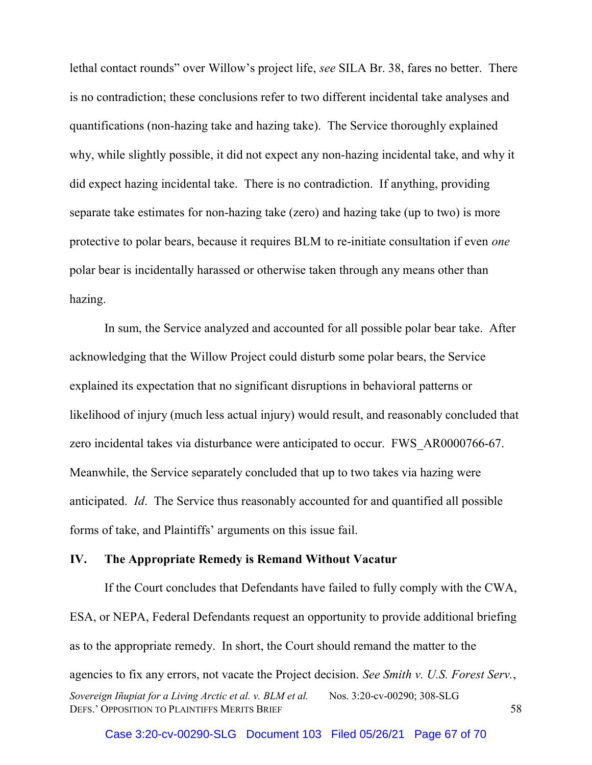lethal contact rounds" over Willow's project life, see SILA Br. 38, fares no better. There is no contradiction; these conclusions refer to two different incidental take analyses and quantifications (non-hazing take and hazing take). The Service thoroughly explained why, while slightly possible, it did not expect any non-hazing incidental take, and why it did expect hazing incidental take. There is no contradiction. If anything, providing separate take estimates for non-hazing take (zero) and hazing take (up to two) is more protective to polar bears, because it requires BLM to re-initiate consultation if even one polar bear is incidentally harassed or otherwise taken through any means other than hazing.

In sum, the Service analyzed and accounted for all possible polar bear take. After acknowledging that the Willow Project could disturb some polar bears, the Service explained its expectation that no significant disruptions in behavioral patterns or likelihood of injury (much less actual injury) would result, and reasonably concluded that zero incidental takes via disturbance were anticipated to occur. FWS\_AR0000766-67. Meanwhile, the Service separately concluded that up to two takes via hazing were anticipated. Id. The Service thus reasonably accounted for and quantified all possible forms of take, and Plaintiffs' arguments on this issue fail.

#### IV. The Appropriate Remedy is Remand Without Vacatur

Sovereign Iñupiat for a Living Arctic et al. v. BLM et al. Nos. 3:20-cv-00290; 308-SLG DEFS.' OPPOSITION TO PLAINTIFFS MERITS BRIEF 58 SET AND THE SET OF SALE SET AND SET A SET AND SET A SET AND SET A SET AND SET A SET AND SET A SET AND SET A SET AND SET A SET AND SET A SET AND SET A SET AND SET A SET AND SE If the Court concludes that Defendants have failed to fully comply with the CWA, ESA, or NEPA, Federal Defendants request an opportunity to provide additional briefing as to the appropriate remedy. In short, the Court should remand the matter to the agencies to fix any errors, not vacate the Project decision. See Smith v. U.S. Forest Serv.,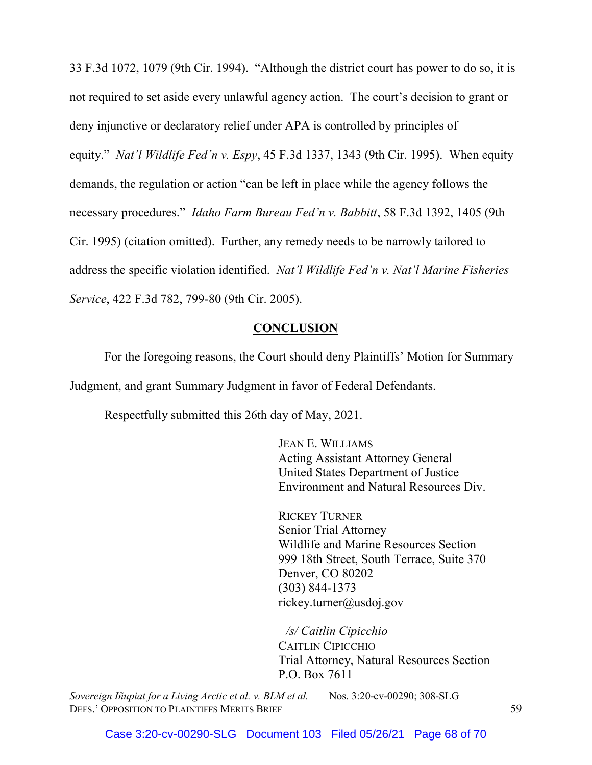33 F.3d 1072, 1079 (9th Cir. 1994). "Although the district court has power to do so, it is not required to set aside every unlawful agency action. The court's decision to grant or deny injunctive or declaratory relief under APA is controlled by principles of equity." *Nat'l Wildlife Fed'n v. Espy*, 45 F.3d 1337, 1343 (9th Cir. 1995). When equity demands, the regulation or action "can be left in place while the agency follows the necessary procedures." Idaho Farm Bureau Fed'n v. Babbitt, 58 F.3d 1392, 1405 (9th Cir. 1995) (citation omitted). Further, any remedy needs to be narrowly tailored to address the specific violation identified. Nat'l Wildlife Fed'n v. Nat'l Marine Fisheries Service, 422 F.3d 782, 799-80 (9th Cir. 2005).

#### **CONCLUSION**

 For the foregoing reasons, the Court should deny Plaintiffs' Motion for Summary Judgment, and grant Summary Judgment in favor of Federal Defendants.

Respectfully submitted this 26th day of May, 2021.

 JEAN E. WILLIAMS Acting Assistant Attorney General United States Department of Justice Environment and Natural Resources Div.

RICKEY TURNER Senior Trial Attorney Wildlife and Marine Resources Section 999 18th Street, South Terrace, Suite 370 Denver, CO 80202 (303) 844-1373 rickey.turner@usdoj.gov

 /s/ Caitlin Cipicchio CAITLIN CIPICCHIO Trial Attorney, Natural Resources Section P.O. Box 7611

Sovereign Iñupiat for a Living Arctic et al. v. BLM et al. Nos. 3:20-cv-00290; 308-SLG DEFS.' OPPOSITION TO PLAINTIFFS MERITS BRIEF 59 SOLUTION TO PLAINTIFFS MERITS BRIEF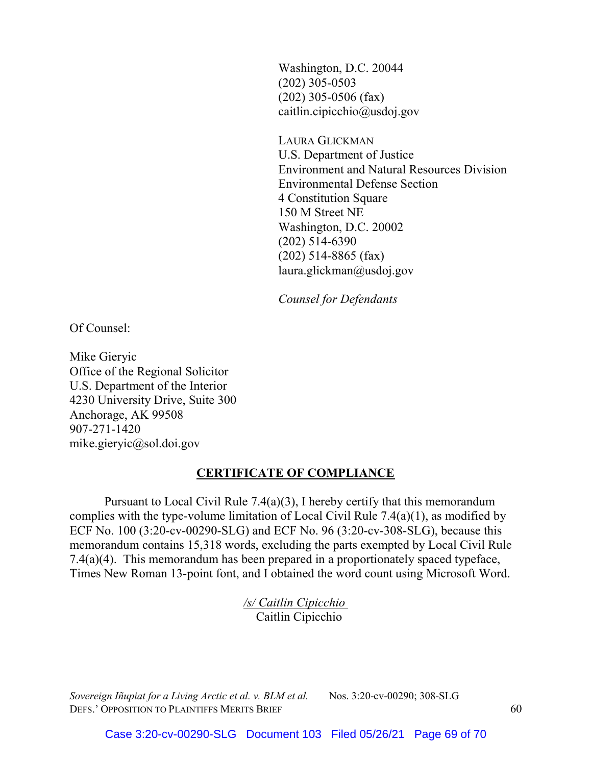Washington, D.C. 20044 (202) 305-0503 (202) 305-0506 (fax) caitlin.cipicchio@usdoj.gov

LAURA GLICKMAN U.S. Department of Justice Environment and Natural Resources Division Environmental Defense Section 4 Constitution Square 150 M Street NE Washington, D.C. 20002 (202) 514-6390 (202) 514-8865 (fax) laura.glickman@usdoj.gov

Counsel for Defendants

Of Counsel:

Mike Gieryic Office of the Regional Solicitor U.S. Department of the Interior 4230 University Drive, Suite 300 Anchorage, AK 99508 907-271-1420 mike.gieryic@sol.doi.gov

# CERTIFICATE OF COMPLIANCE

Pursuant to Local Civil Rule 7.4(a)(3), I hereby certify that this memorandum complies with the type-volume limitation of Local Civil Rule 7.4(a)(1), as modified by ECF No. 100 (3:20-cv-00290-SLG) and ECF No. 96 (3:20-cv-308-SLG), because this memorandum contains 15,318 words, excluding the parts exempted by Local Civil Rule 7.4(a)(4). This memorandum has been prepared in a proportionately spaced typeface, Times New Roman 13-point font, and I obtained the word count using Microsoft Word.

> /s/ Caitlin Cipicchio Caitlin Cipicchio